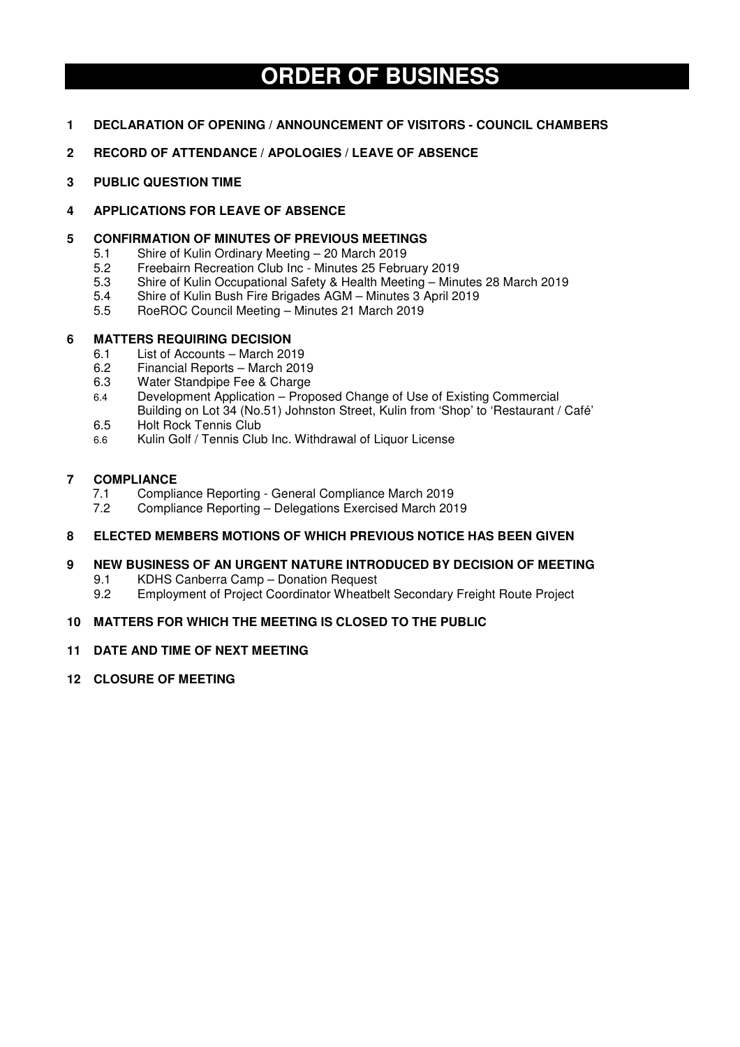# **ORDER OF BUSINESS**

- **1 DECLARATION OF OPENING / ANNOUNCEMENT OF VISITORS COUNCIL CHAMBERS**
- **2 RECORD OF ATTENDANCE / APOLOGIES / LEAVE OF ABSENCE**
- **3 PUBLIC QUESTION TIME**

## **4 APPLICATIONS FOR LEAVE OF ABSENCE**

## **5 CONFIRMATION OF MINUTES OF PREVIOUS MEETINGS**

- 5.1 Shire of Kulin Ordinary Meeting 20 March 2019
- 5.2 Freebairn Recreation Club Inc Minutes 25 February 2019<br>5.3 Shire of Kulin Occupational Safety & Health Meeting Minu
- Shire of Kulin Occupational Safety & Health Meeting Minutes 28 March 2019
- 5.4 Shire of Kulin Bush Fire Brigades AGM Minutes 3 April 2019
- 5.5 RoeROC Council Meeting Minutes 21 March 2019

## **6 MATTERS REQUIRING DECISION**

- 6.1 List of Accounts March 2019<br>6.2 Financial Reports March 201
- 6.2 Financial Reports March 2019
- 6.3 Water Standpipe Fee & Charge
- 6.4 Development Application Proposed Change of Use of Existing Commercial Building on Lot 34 (No.51) Johnston Street, Kulin from 'Shop' to 'Restaurant / Café'
- 6.5 Holt Rock Tennis Club
- 6.6 Kulin Golf / Tennis Club Inc. Withdrawal of Liquor License

## **7 COMPLIANCE**

- 7.1 Compliance Reporting General Compliance March 2019
- 7.2 Compliance Reporting Delegations Exercised March 2019

## **8 ELECTED MEMBERS MOTIONS OF WHICH PREVIOUS NOTICE HAS BEEN GIVEN**

## **9 NEW BUSINESS OF AN URGENT NATURE INTRODUCED BY DECISION OF MEETING**

- 9.1 KDHS Canberra Camp Donation Request<br>9.2 Employment of Project Coordinator Wheathe
- 9.2 Employment of Project Coordinator Wheatbelt Secondary Freight Route Project

## **10 MATTERS FOR WHICH THE MEETING IS CLOSED TO THE PUBLIC**

### **11 DATE AND TIME OF NEXT MEETING**

**12 CLOSURE OF MEETING**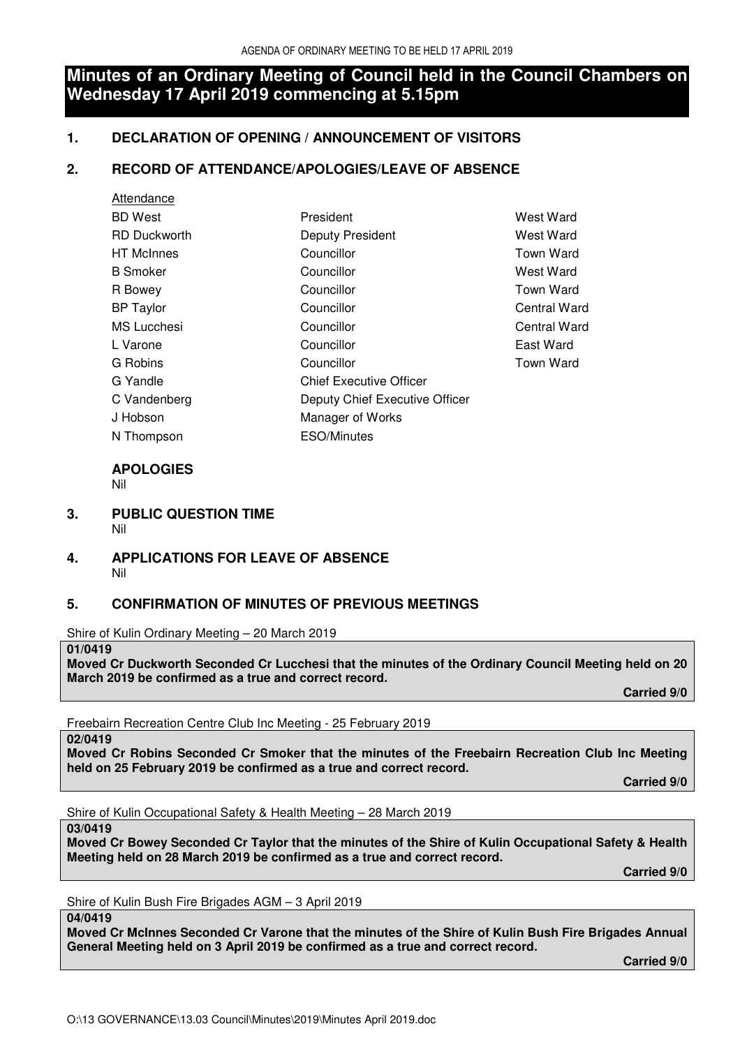# **Minutes of an Ordinary Meeting of Council held in the Council Chambers on Wednesday 17 April 2019 commencing at 5.15pm**

# **1. DECLARATION OF OPENING / ANNOUNCEMENT OF VISITORS**

# **2. RECORD OF ATTENDANCE/APOLOGIES/LEAVE OF ABSENCE**

| Attendance          |                                |                  |
|---------------------|--------------------------------|------------------|
| <b>BD</b> West      | President                      | West Ward        |
| <b>RD Duckworth</b> | Deputy President               | West Ward        |
| <b>HT</b> McInnes   | Councillor                     | <b>Town Ward</b> |
| <b>B</b> Smoker     | Councillor                     | West Ward        |
| R Bowey             | Councillor                     | <b>Town Ward</b> |
| <b>BP</b> Taylor    | Councillor                     | Central Ward     |
| <b>MS</b> Lucchesi  | Councillor                     | Central Ward     |
| L Varone            | Councillor                     | East Ward        |
| G Robins            | Councillor                     | <b>Town Ward</b> |
| G Yandle            | <b>Chief Executive Officer</b> |                  |
| C Vandenberg        | Deputy Chief Executive Officer |                  |
| J Hobson            | Manager of Works               |                  |
| N Thompson          | <b>ESO/Minutes</b>             |                  |

# **APOLOGIES**

Nil

- **3. PUBLIC QUESTION TIME**  Nil
- **4. APPLICATIONS FOR LEAVE OF ABSENCE**  Nil

# **5. CONFIRMATION OF MINUTES OF PREVIOUS MEETINGS**

Shire of Kulin Ordinary Meeting – 20 March 2019

**01/0419** 

**Moved Cr Duckworth Seconded Cr Lucchesi that the minutes of the Ordinary Council Meeting held on 20 March 2019 be confirmed as a true and correct record.** 

 **Carried 9/0** 

Freebairn Recreation Centre Club Inc Meeting - 25 February 2019

**02/0419** 

**Moved Cr Robins Seconded Cr Smoker that the minutes of the Freebairn Recreation Club Inc Meeting held on 25 February 2019 be confirmed as a true and correct record.** 

 **Carried 9/0** 

Shire of Kulin Occupational Safety & Health Meeting – 28 March 2019

**03/0419** 

**Moved Cr Bowey Seconded Cr Taylor that the minutes of the Shire of Kulin Occupational Safety & Health Meeting held on 28 March 2019 be confirmed as a true and correct record.** 

 **Carried 9/0** 

Shire of Kulin Bush Fire Brigades AGM – 3 April 2019

## **04/0419**

**Moved Cr McInnes Seconded Cr Varone that the minutes of the Shire of Kulin Bush Fire Brigades Annual General Meeting held on 3 April 2019 be confirmed as a true and correct record.** 

 **Carried 9/0**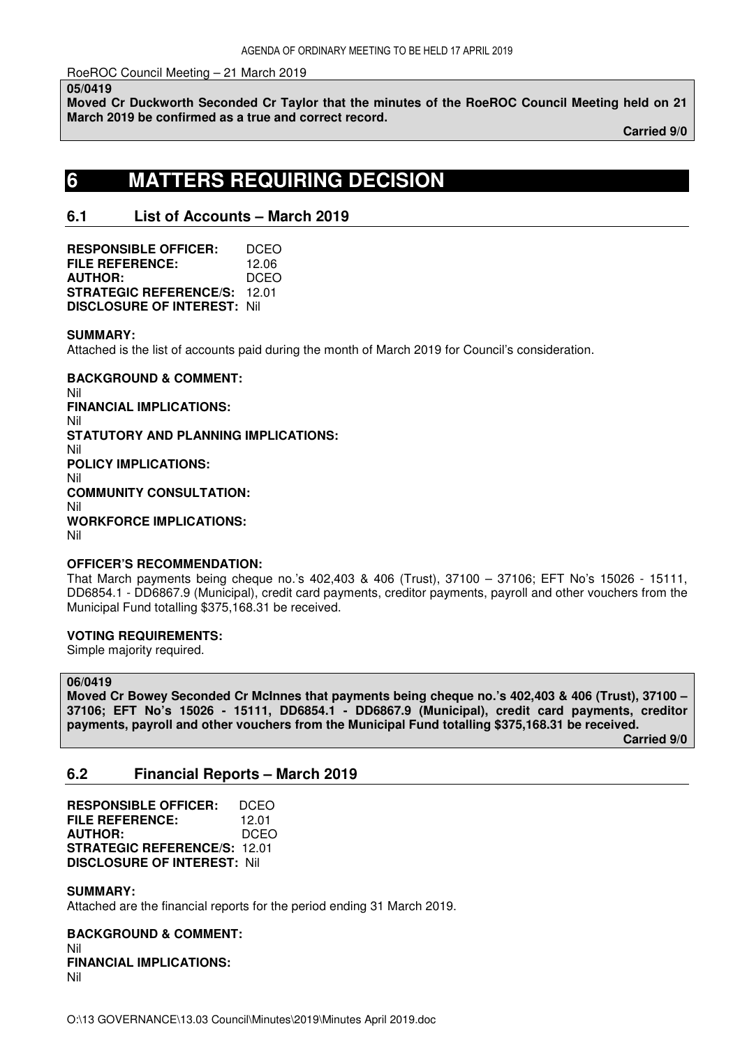## RoeROC Council Meeting – 21 March 2019

**05/0419** 

**Moved Cr Duckworth Seconded Cr Taylor that the minutes of the RoeROC Council Meeting held on 21 March 2019 be confirmed as a true and correct record.** 

 **Carried 9/0** 

# **6 MATTERS REQUIRING DECISION**

# **6.1 List of Accounts – March 2019**

**RESPONSIBLE OFFICER:** DCEO **FILE REFERENCE:** 12.06 **AUTHOR:** DCEO **STRATEGIC REFERENCE/S:** 12.01 **DISCLOSURE OF INTEREST:** Nil

## **SUMMARY:**

Attached is the list of accounts paid during the month of March 2019 for Council's consideration.

**BACKGROUND & COMMENT:**  Nil **FINANCIAL IMPLICATIONS:**  Nil **STATUTORY AND PLANNING IMPLICATIONS:**  Nil **POLICY IMPLICATIONS:**  Nil **COMMUNITY CONSULTATION:**  Nil **WORKFORCE IMPLICATIONS:**  Nil

### **OFFICER'S RECOMMENDATION:**

That March payments being cheque no.'s 402,403 & 406 (Trust), 37100 – 37106; EFT No's 15026 - 15111, DD6854.1 - DD6867.9 (Municipal), credit card payments, creditor payments, payroll and other vouchers from the Municipal Fund totalling \$375,168.31 be received.

## **VOTING REQUIREMENTS:**

Simple majority required.

#### **06/0419**

**Moved Cr Bowey Seconded Cr McInnes that payments being cheque no.'s 402,403 & 406 (Trust), 37100 – 37106; EFT No's 15026 - 15111, DD6854.1 - DD6867.9 (Municipal), credit card payments, creditor payments, payroll and other vouchers from the Municipal Fund totalling \$375,168.31 be received.** 

 **Carried 9/0** 

# **6.2 Financial Reports – March 2019**

**RESPONSIBLE OFFICER:** DCEO **FILE REFERENCE:** 12.01 **AUTHOR:** DCEO **STRATEGIC REFERENCE/S:** 12.01 **DISCLOSURE OF INTEREST:** Nil

### **SUMMARY:**

Attached are the financial reports for the period ending 31 March 2019.

**BACKGROUND & COMMENT:**  Nil **FINANCIAL IMPLICATIONS:**  Nil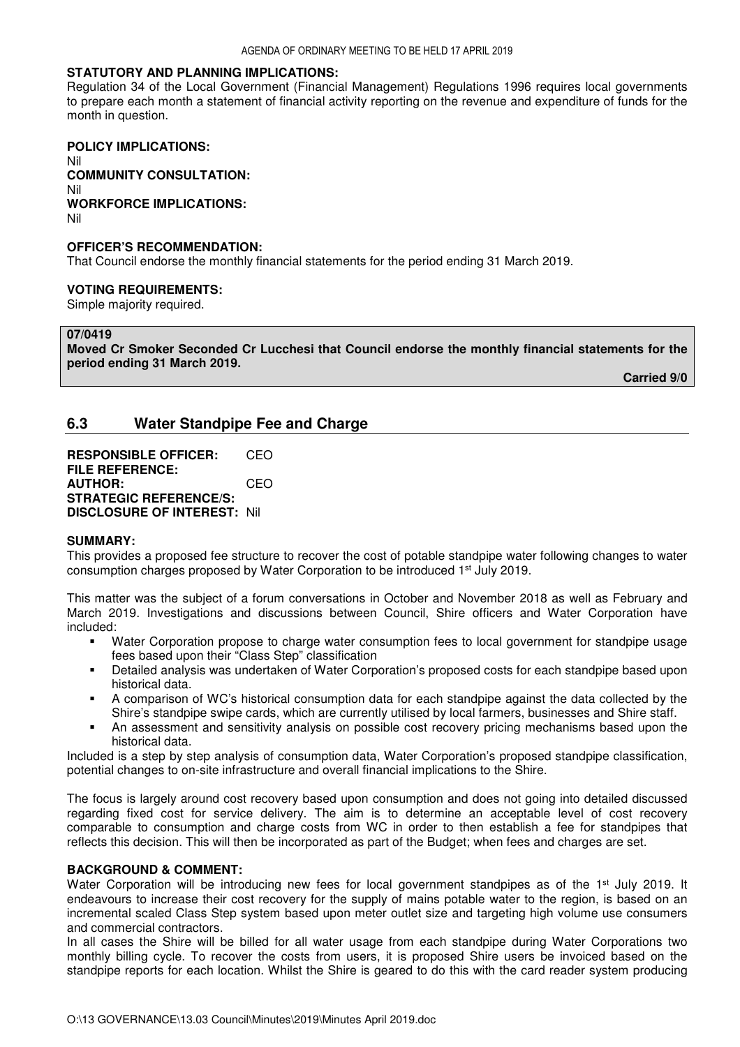## **STATUTORY AND PLANNING IMPLICATIONS:**

Regulation 34 of the Local Government (Financial Management) Regulations 1996 requires local governments to prepare each month a statement of financial activity reporting on the revenue and expenditure of funds for the month in question.

#### **POLICY IMPLICATIONS:**  Nil **COMMUNITY CONSULTATION:**  Nil **WORKFORCE IMPLICATIONS:**  Nil

### **OFFICER'S RECOMMENDATION:**

That Council endorse the monthly financial statements for the period ending 31 March 2019.

#### **VOTING REQUIREMENTS:**

Simple majority required.

#### **07/0419**

**Moved Cr Smoker Seconded Cr Lucchesi that Council endorse the monthly financial statements for the period ending 31 March 2019.** 

**Carried 9/0** 

# **6.3 Water Standpipe Fee and Charge**

**RESPONSIBLE OFFICER:** CEO **FILE REFERENCE: AUTHOR:** CEO **STRATEGIC REFERENCE/S: DISCLOSURE OF INTEREST:** Nil

#### **SUMMARY:**

This provides a proposed fee structure to recover the cost of potable standpipe water following changes to water consumption charges proposed by Water Corporation to be introduced 1st July 2019.

This matter was the subject of a forum conversations in October and November 2018 as well as February and March 2019. Investigations and discussions between Council, Shire officers and Water Corporation have included:

- Water Corporation propose to charge water consumption fees to local government for standpipe usage fees based upon their "Class Step" classification
- Detailed analysis was undertaken of Water Corporation's proposed costs for each standpipe based upon historical data.
- A comparison of WC's historical consumption data for each standpipe against the data collected by the Shire's standpipe swipe cards, which are currently utilised by local farmers, businesses and Shire staff.
- An assessment and sensitivity analysis on possible cost recovery pricing mechanisms based upon the historical data.

Included is a step by step analysis of consumption data, Water Corporation's proposed standpipe classification, potential changes to on-site infrastructure and overall financial implications to the Shire.

The focus is largely around cost recovery based upon consumption and does not going into detailed discussed regarding fixed cost for service delivery. The aim is to determine an acceptable level of cost recovery comparable to consumption and charge costs from WC in order to then establish a fee for standpipes that reflects this decision. This will then be incorporated as part of the Budget; when fees and charges are set.

#### **BACKGROUND & COMMENT:**

Water Corporation will be introducing new fees for local government standpipes as of the 1<sup>st</sup> July 2019. It endeavours to increase their cost recovery for the supply of mains potable water to the region, is based on an incremental scaled Class Step system based upon meter outlet size and targeting high volume use consumers and commercial contractors.

In all cases the Shire will be billed for all water usage from each standpipe during Water Corporations two monthly billing cycle. To recover the costs from users, it is proposed Shire users be invoiced based on the standpipe reports for each location. Whilst the Shire is geared to do this with the card reader system producing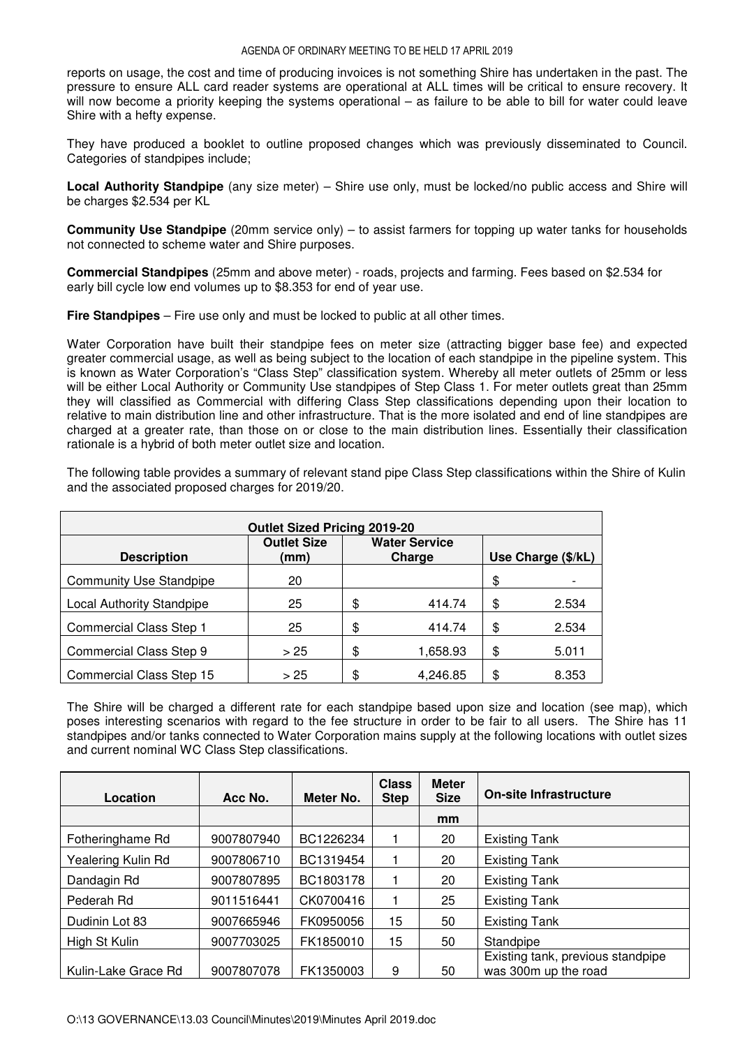reports on usage, the cost and time of producing invoices is not something Shire has undertaken in the past. The pressure to ensure ALL card reader systems are operational at ALL times will be critical to ensure recovery. It will now become a priority keeping the systems operational – as failure to be able to bill for water could leave Shire with a hefty expense.

They have produced a booklet to outline proposed changes which was previously disseminated to Council. Categories of standpipes include;

**Local Authority Standpipe** (any size meter) – Shire use only, must be locked/no public access and Shire will be charges \$2.534 per KL

**Community Use Standpipe** (20mm service only) – to assist farmers for topping up water tanks for households not connected to scheme water and Shire purposes.

**Commercial Standpipes** (25mm and above meter) - roads, projects and farming. Fees based on \$2.534 for early bill cycle low end volumes up to \$8.353 for end of year use.

**Fire Standpipes** – Fire use only and must be locked to public at all other times.

Water Corporation have built their standpipe fees on meter size (attracting bigger base fee) and expected greater commercial usage, as well as being subject to the location of each standpipe in the pipeline system. This is known as Water Corporation's "Class Step" classification system. Whereby all meter outlets of 25mm or less will be either Local Authority or Community Use standpipes of Step Class 1. For meter outlets great than 25mm they will classified as Commercial with differing Class Step classifications depending upon their location to relative to main distribution line and other infrastructure. That is the more isolated and end of line standpipes are charged at a greater rate, than those on or close to the main distribution lines. Essentially their classification rationale is a hybrid of both meter outlet size and location.

The following table provides a summary of relevant stand pipe Class Step classifications within the Shire of Kulin and the associated proposed charges for 2019/20.

| <b>Outlet Sized Pricing 2019-20</b> |                            |    |                                |    |                    |  |  |  |
|-------------------------------------|----------------------------|----|--------------------------------|----|--------------------|--|--|--|
| <b>Description</b>                  | <b>Outlet Size</b><br>(mm) |    | <b>Water Service</b><br>Charge |    | Use Charge (\$/kL) |  |  |  |
| <b>Community Use Standpipe</b>      | 20                         |    |                                | \$ |                    |  |  |  |
| <b>Local Authority Standpipe</b>    | 25                         | \$ | 414.74                         | \$ | 2.534              |  |  |  |
| <b>Commercial Class Step 1</b>      | 25                         | \$ | 414.74                         | \$ | 2.534              |  |  |  |
| Commercial Class Step 9             | > 25                       | \$ | 1,658.93                       | \$ | 5.011              |  |  |  |
| Commercial Class Step 15            | > 25                       | \$ | 4,246.85                       | \$ | 8.353              |  |  |  |

The Shire will be charged a different rate for each standpipe based upon size and location (see map), which poses interesting scenarios with regard to the fee structure in order to be fair to all users. The Shire has 11 standpipes and/or tanks connected to Water Corporation mains supply at the following locations with outlet sizes and current nominal WC Class Step classifications.

| Location            | Acc No.    | Meter No. | <b>Class</b><br><b>Step</b> | <b>Meter</b><br><b>Size</b> | On-site Infrastructure                                    |
|---------------------|------------|-----------|-----------------------------|-----------------------------|-----------------------------------------------------------|
|                     |            |           |                             | mm                          |                                                           |
| Fotheringhame Rd    | 9007807940 | BC1226234 |                             | 20                          | <b>Existing Tank</b>                                      |
| Yealering Kulin Rd  | 9007806710 | BC1319454 |                             | 20                          | <b>Existing Tank</b>                                      |
| Dandagin Rd         | 9007807895 | BC1803178 |                             | 20                          | <b>Existing Tank</b>                                      |
| Pederah Rd          | 9011516441 | CK0700416 |                             | 25                          | <b>Existing Tank</b>                                      |
| Dudinin Lot 83      | 9007665946 | FK0950056 | 15                          | 50                          | <b>Existing Tank</b>                                      |
| High St Kulin       | 9007703025 | FK1850010 | 15                          | 50                          | Standpipe                                                 |
| Kulin-Lake Grace Rd | 9007807078 | FK1350003 | 9                           | 50                          | Existing tank, previous standpipe<br>was 300m up the road |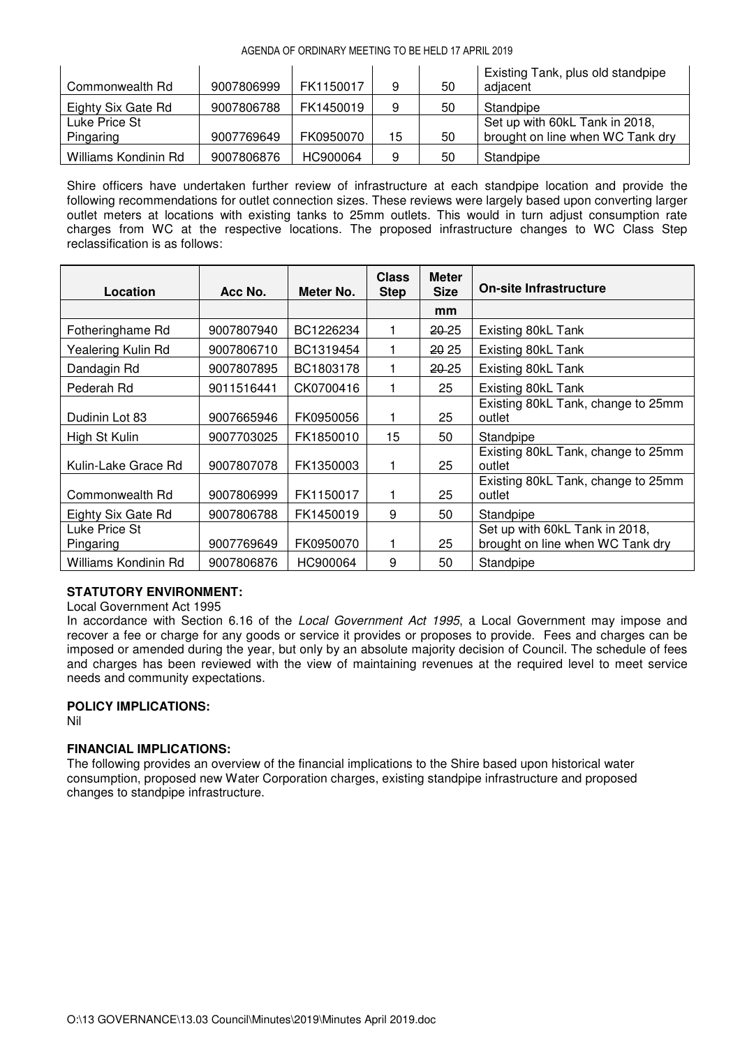#### AGENDA OF ORDINARY MEETING TO BE HELD 17 APRIL 2019

| Commonwealth Rd      | 9007806999 | FK1150017 | 9  | 50 | Existing Tank, plus old standpipe<br>adjacent |
|----------------------|------------|-----------|----|----|-----------------------------------------------|
| Eighty Six Gate Rd   | 9007806788 | FK1450019 | 9  | 50 | Standpipe                                     |
| Luke Price St        |            |           |    |    | Set up with 60kL Tank in 2018,                |
| Pingaring            | 9007769649 | FK0950070 | 15 | 50 | brought on line when WC Tank dry              |
| Williams Kondinin Rd | 9007806876 | HC900064  | 9  | 50 | Standpipe                                     |

Shire officers have undertaken further review of infrastructure at each standpipe location and provide the following recommendations for outlet connection sizes. These reviews were largely based upon converting larger outlet meters at locations with existing tanks to 25mm outlets. This would in turn adjust consumption rate charges from WC at the respective locations. The proposed infrastructure changes to WC Class Step reclassification is as follows:

| Location                   | Acc No.    | Meter No. | <b>Class</b><br><b>Step</b> | <b>Meter</b><br><b>Size</b> | <b>On-site Infrastructure</b>                                      |
|----------------------------|------------|-----------|-----------------------------|-----------------------------|--------------------------------------------------------------------|
|                            |            |           |                             | mm                          |                                                                    |
| Fotheringhame Rd           | 9007807940 | BC1226234 |                             | <b>20.25</b>                | Existing 80kL Tank                                                 |
| Yealering Kulin Rd         | 9007806710 | BC1319454 |                             | 20 25                       | Existing 80kL Tank                                                 |
| Dandagin Rd                | 9007807895 | BC1803178 |                             | <b>20.25</b>                | Existing 80kL Tank                                                 |
| Pederah Rd                 | 9011516441 | CK0700416 |                             | 25                          | Existing 80kL Tank                                                 |
| Dudinin Lot 83             | 9007665946 | FK0950056 | 1                           | 25                          | Existing 80kL Tank, change to 25mm<br>outlet                       |
| High St Kulin              | 9007703025 | FK1850010 | 15                          | 50                          | Standpipe                                                          |
| Kulin-Lake Grace Rd        | 9007807078 | FK1350003 | 1                           | 25                          | Existing 80kL Tank, change to 25mm<br>outlet                       |
| Commonwealth Rd            | 9007806999 | FK1150017 |                             | 25                          | Existing 80kL Tank, change to 25mm<br>outlet                       |
| Eighty Six Gate Rd         | 9007806788 | FK1450019 | 9                           | 50                          | Standpipe                                                          |
| Luke Price St<br>Pingaring | 9007769649 | FK0950070 |                             | 25                          | Set up with 60kL Tank in 2018,<br>brought on line when WC Tank dry |
| Williams Kondinin Rd       | 9007806876 | HC900064  | 9                           | 50                          | Standpipe                                                          |

# **STATUTORY ENVIRONMENT:**

Local Government Act 1995

In accordance with Section 6.16 of the *Local Government Act 1995*, a Local Government may impose and recover a fee or charge for any goods or service it provides or proposes to provide. Fees and charges can be imposed or amended during the year, but only by an absolute majority decision of Council. The schedule of fees and charges has been reviewed with the view of maintaining revenues at the required level to meet service needs and community expectations.

## **POLICY IMPLICATIONS:**

Nil

## **FINANCIAL IMPLICATIONS:**

The following provides an overview of the financial implications to the Shire based upon historical water consumption, proposed new Water Corporation charges, existing standpipe infrastructure and proposed changes to standpipe infrastructure.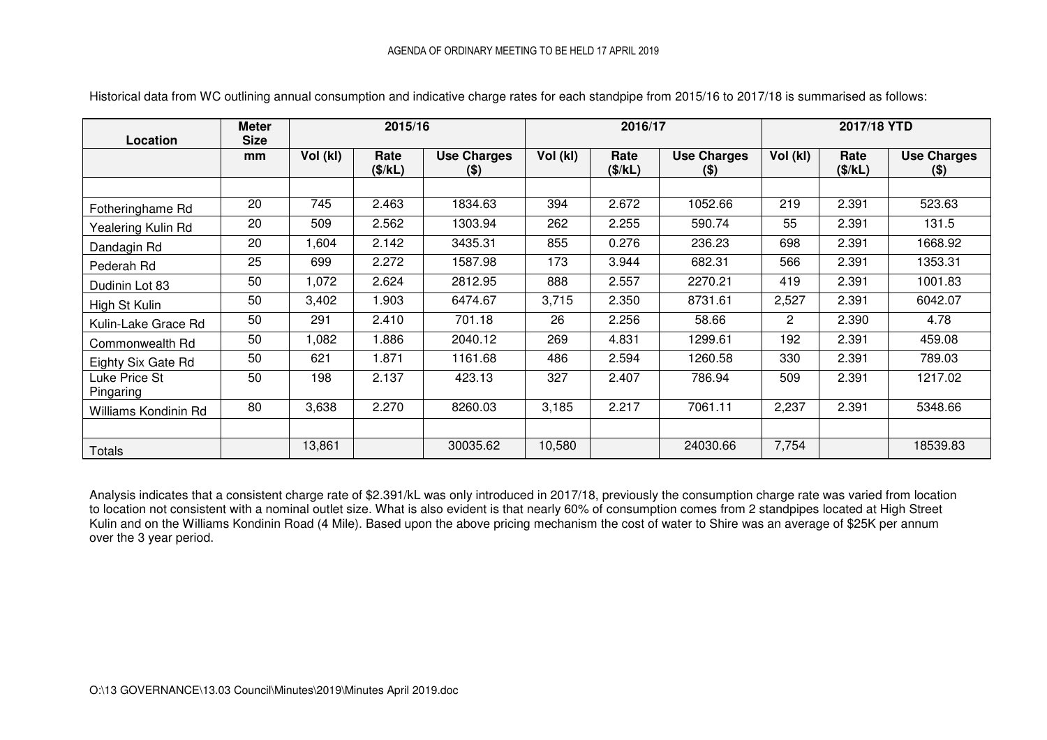| Location                   | <b>Meter</b><br><b>Size</b> | 2015/16  |                 |                               |          | 2016/17         |                               | 2017/18 YTD    |                 |                               |
|----------------------------|-----------------------------|----------|-----------------|-------------------------------|----------|-----------------|-------------------------------|----------------|-----------------|-------------------------------|
|                            | mm                          | Vol (kl) | Rate<br>(\$/kL) | <b>Use Charges</b><br>$($ \$) | Vol (kl) | Rate<br>(\$/kL) | <b>Use Charges</b><br>$($ \$) | Vol (kl)       | Rate<br>(\$/kL) | <b>Use Charges</b><br>$($ \$) |
|                            |                             |          |                 |                               |          |                 |                               |                |                 |                               |
| Fotheringhame Rd           | 20                          | 745      | 2.463           | 1834.63                       | 394      | 2.672           | 1052.66                       | 219            | 2.391           | 523.63                        |
| Yealering Kulin Rd         | 20                          | 509      | 2.562           | 1303.94                       | 262      | 2.255           | 590.74                        | 55             | 2.391           | 131.5                         |
| Dandagin Rd                | 20                          | 1,604    | 2.142           | 3435.31                       | 855      | 0.276           | 236.23                        | 698            | 2.391           | 1668.92                       |
| Pederah Rd                 | 25                          | 699      | 2.272           | 1587.98                       | 173      | 3.944           | 682.31                        | 566            | 2.391           | 1353.31                       |
| Dudinin Lot 83             | 50                          | 1,072    | 2.624           | 2812.95                       | 888      | 2.557           | 2270.21                       | 419            | 2.391           | 1001.83                       |
| High St Kulin              | 50                          | 3,402    | 1.903           | 6474.67                       | 3,715    | 2.350           | 8731.61                       | 2,527          | 2.391           | 6042.07                       |
| Kulin-Lake Grace Rd        | 50                          | 291      | 2.410           | 701.18                        | 26       | 2.256           | 58.66                         | $\overline{2}$ | 2.390           | 4.78                          |
| Commonwealth Rd            | 50                          | 1,082    | 1.886           | 2040.12                       | 269      | 4.831           | 1299.61                       | 192            | 2.391           | 459.08                        |
| Eighty Six Gate Rd         | 50                          | 621      | 1.871           | 1161.68                       | 486      | 2.594           | 1260.58                       | 330            | 2.391           | 789.03                        |
| Luke Price St<br>Pingaring | 50                          | 198      | 2.137           | 423.13                        | 327      | 2.407           | 786.94                        | 509            | 2.391           | 1217.02                       |
| Williams Kondinin Rd       | 80                          | 3,638    | 2.270           | 8260.03                       | 3,185    | 2.217           | 7061.11                       | 2,237          | 2.391           | 5348.66                       |
|                            |                             |          |                 |                               |          |                 |                               |                |                 |                               |
| <b>Totals</b>              |                             | 13,861   |                 | 30035.62                      | 10,580   |                 | 24030.66                      | 7,754          |                 | 18539.83                      |

Historical data from WC outlining annual consumption and indicative charge rates for each standpipe from 2015/16 to 2017/18 is summarised as follows:

Analysis indicates that a consistent charge rate of \$2.391/kL was only introduced in 2017/18, previously the consumption charge rate was varied from location to location not consistent with a nominal outlet size. What is also evident is that nearly 60% of consumption comes from 2 standpipes located at High Street Kulin and on the Williams Kondinin Road (4 Mile). Based upon the above pricing mechanism the cost of water to Shire was an average of \$25K per annum over the 3 year period.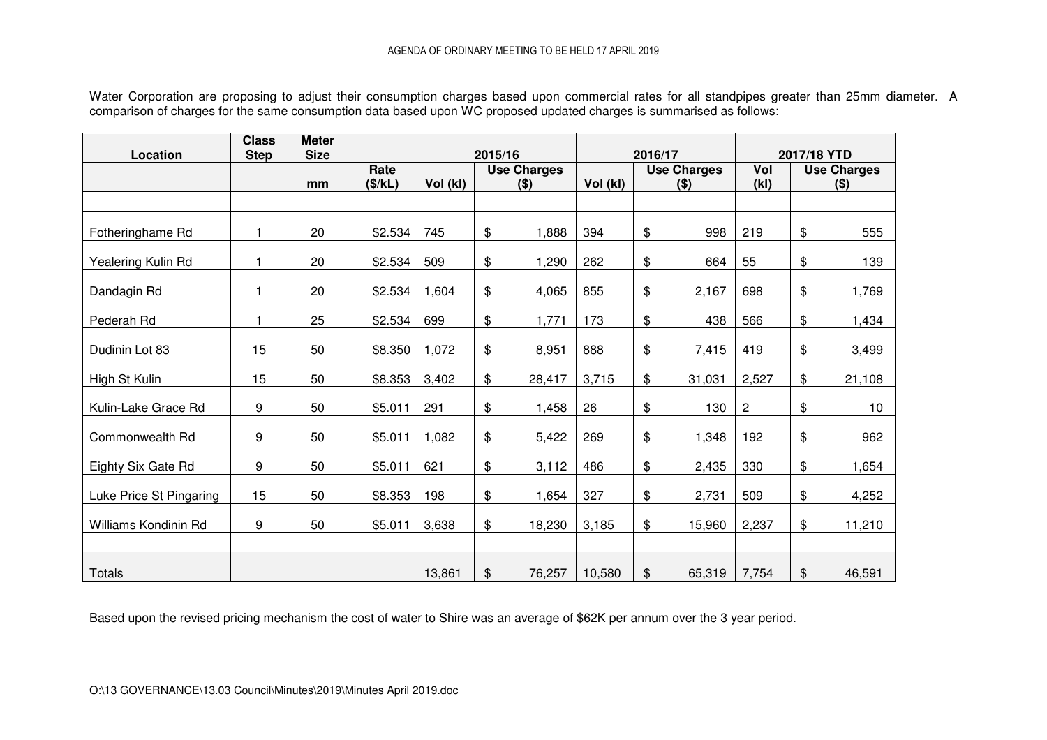Water Corporation are proposing to adjust their consumption charges based upon commercial rates for all standpipes greater than 25mm diameter. A<br>comparison of charges for the same consumption data based upon WC proposed u

| Location                | <b>Class</b><br><b>Step</b> | <b>Meter</b><br><b>Size</b> |                 |          | 2015/16 |                               |          | 2016/17 |                               |            | 2017/18 YTD |                               |
|-------------------------|-----------------------------|-----------------------------|-----------------|----------|---------|-------------------------------|----------|---------|-------------------------------|------------|-------------|-------------------------------|
|                         |                             | mm                          | Rate<br>(\$/kL) | Vol (kl) |         | <b>Use Charges</b><br>$($ \$) | Vol (kl) |         | <b>Use Charges</b><br>$($ \$) | Vol<br>(k) |             | <b>Use Charges</b><br>$($ \$) |
|                         |                             |                             |                 |          |         |                               |          |         |                               |            |             |                               |
| Fotheringhame Rd        | 1                           | 20                          | \$2.534         | 745      | \$      | 1,888                         | 394      | \$      | 998                           | 219        | \$          | 555                           |
| Yealering Kulin Rd      | 1                           | 20                          | \$2.534         | 509      | \$      | 1,290                         | 262      | \$      | 664                           | 55         | \$          | 139                           |
| Dandagin Rd             | 1                           | 20                          | \$2.534         | 1,604    | \$      | 4,065                         | 855      | \$      | 2,167                         | 698        | \$          | 1,769                         |
| Pederah Rd              | 1                           | 25                          | \$2.534         | 699      | \$      | 1,771                         | 173      | \$      | 438                           | 566        | \$          | 1,434                         |
| Dudinin Lot 83          | 15                          | 50                          | \$8.350         | 1,072    | \$      | 8,951                         | 888      | \$      | 7,415                         | 419        | \$          | 3,499                         |
| High St Kulin           | 15                          | 50                          | \$8.353         | 3,402    | \$      | 28,417                        | 3,715    | \$      | 31,031                        | 2,527      | \$          | 21,108                        |
| Kulin-Lake Grace Rd     | 9                           | 50                          | \$5.011         | 291      | \$      | 1,458                         | 26       | \$      | 130                           | 2          | \$          | 10 <sub>1</sub>               |
| Commonwealth Rd         | 9                           | 50                          | \$5.011         | 1,082    | \$      | 5,422                         | 269      | \$      | 1,348                         | 192        | \$          | 962                           |
| Eighty Six Gate Rd      | 9                           | 50                          | \$5.011         | 621      | \$      | 3,112                         | 486      | \$      | 2,435                         | 330        | \$          | 1,654                         |
| Luke Price St Pingaring | 15                          | 50                          | \$8.353         | 198      | \$      | 1,654                         | 327      | \$      | 2,731                         | 509        | \$          | 4,252                         |
| Williams Kondinin Rd    | 9                           | 50                          | \$5.011         | 3,638    | \$      | 18,230                        | 3,185    | \$      | 15,960                        | 2,237      | \$          | 11,210                        |
|                         |                             |                             |                 |          |         |                               |          |         |                               |            |             |                               |
| Totals                  |                             |                             |                 | 13,861   | \$      | 76,257                        | 10,580   | \$      | 65,319                        | 7,754      | \$          | 46,591                        |

Based upon the revised pricing mechanism the cost of water to Shire was an average of \$62K per annum over the 3 year period.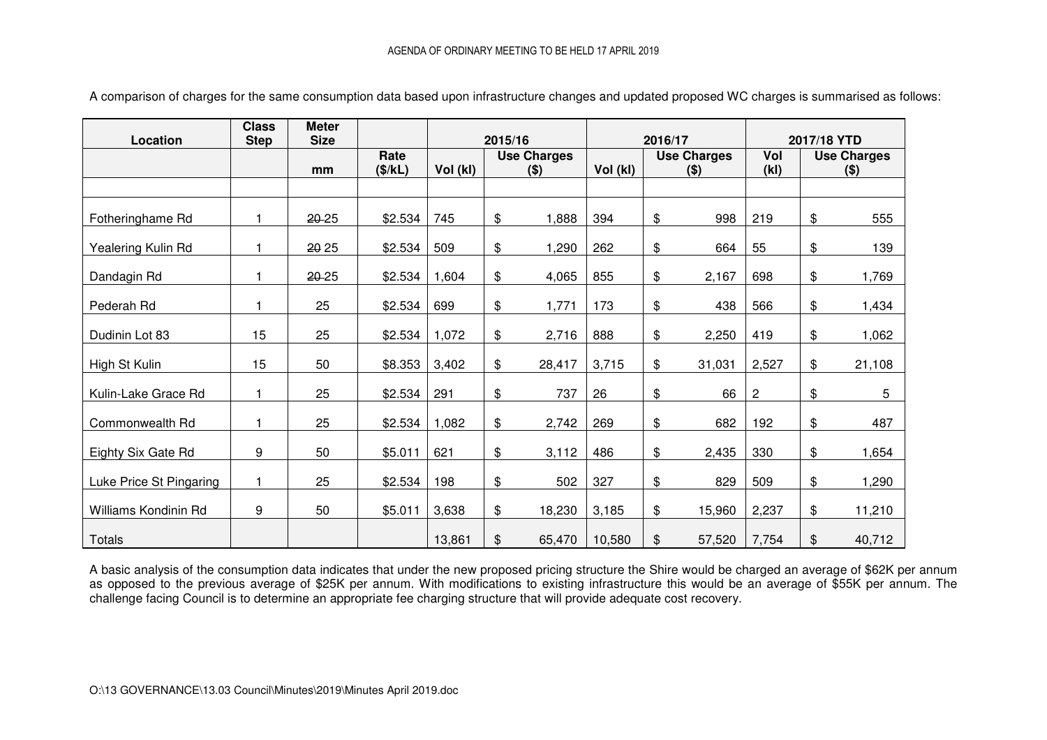| Location                | <b>Class</b><br><b>Step</b> | <b>Meter</b><br><b>Size</b> |                 |          | 2015/16 |                               |          | 2016/17 |                               |              | 2017/18 YTD |                               |
|-------------------------|-----------------------------|-----------------------------|-----------------|----------|---------|-------------------------------|----------|---------|-------------------------------|--------------|-------------|-------------------------------|
|                         |                             | mm                          | Rate<br>(\$/kL) | Vol (kl) |         | <b>Use Charges</b><br>$($ \$) | Vol (kl) |         | <b>Use Charges</b><br>$($ \$) | Vol<br>(k)   |             | <b>Use Charges</b><br>$($ \$) |
|                         |                             |                             |                 |          |         |                               |          |         |                               |              |             |                               |
| Fotheringhame Rd        | 1                           | 20-25                       | \$2.534         | 745      | \$      | 1,888                         | 394      | \$      | 998                           | 219          | \$          | 555                           |
| Yealering Kulin Rd      |                             | 20 25                       | \$2.534         | 509      | \$      | 1,290                         | 262      | \$      | 664                           | 55           | \$          | 139                           |
| Dandagin Rd             |                             | 20-25                       | \$2.534         | 1,604    | \$      | 4,065                         | 855      | \$      | 2,167                         | 698          | \$          | 1,769                         |
| Pederah Rd              |                             | 25                          | \$2.534         | 699      | \$      | 1,771                         | 173      | \$      | 438                           | 566          | \$          | 1,434                         |
| Dudinin Lot 83          | 15                          | 25                          | \$2.534         | 1,072    | \$      | 2,716                         | 888      | \$      | 2,250                         | 419          | \$          | 1,062                         |
| High St Kulin           | 15                          | 50                          | \$8.353         | 3,402    | \$      | 28,417                        | 3,715    | \$      | 31,031                        | 2,527        | \$          | 21,108                        |
| Kulin-Lake Grace Rd     | 1                           | 25                          | \$2.534         | 291      | \$      | 737                           | 26       | \$      | 66                            | $\mathbf{2}$ | \$          | 5                             |
| Commonwealth Rd         |                             | 25                          | \$2.534         | 1,082    | \$      | 2,742                         | 269      | \$      | 682                           | 192          | \$          | 487                           |
| Eighty Six Gate Rd      | 9                           | 50                          | \$5.011         | 621      | \$      | 3,112                         | 486      | \$      | 2,435                         | 330          | \$          | 1,654                         |
| Luke Price St Pingaring | 1                           | 25                          | \$2.534         | 198      | \$      | 502                           | 327      | \$      | 829                           | 509          | \$          | 1,290                         |
| Williams Kondinin Rd    | 9                           | 50                          | \$5.011         | 3,638    | \$      | 18,230                        | 3,185    | \$      | 15,960                        | 2,237        | \$          | 11,210                        |
| <b>Totals</b>           |                             |                             |                 | 13,861   | \$      | 65,470                        | 10,580   | \$      | 57,520                        | 7,754        | \$          | 40,712                        |

A comparison of charges for the same consumption data based upon infrastructure changes and updated proposed WC charges is summarised as follows:

A basic analysis of the consumption data indicates that under the new proposed pricing structure the Shire would be charged an average of \$62K per annum as opposed to the previous average of \$25K per annum. With modifications to existing infrastructure this would be an average of \$55K per annum. The challenge facing Council is to determine an appropriate fee charging structure that will provide adequate cost recovery.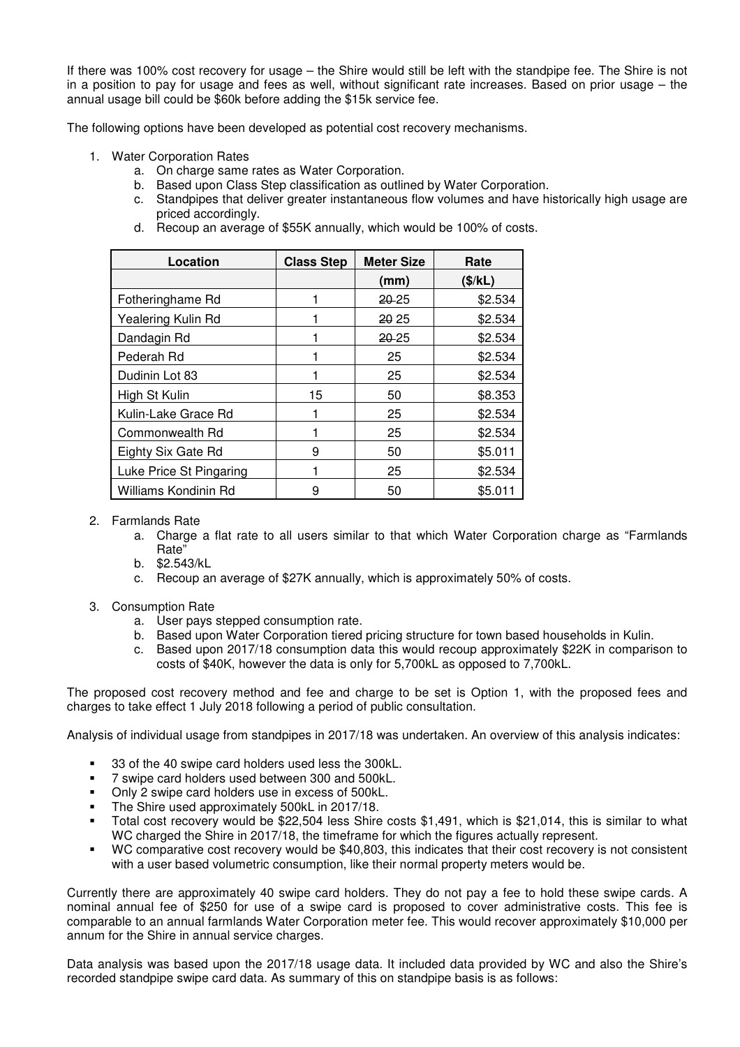If there was 100% cost recovery for usage – the Shire would still be left with the standpipe fee. The Shire is not in a position to pay for usage and fees as well, without significant rate increases. Based on prior usage – the annual usage bill could be \$60k before adding the \$15k service fee.

The following options have been developed as potential cost recovery mechanisms.

- 1. Water Corporation Rates
	- a. On charge same rates as Water Corporation.
	- b. Based upon Class Step classification as outlined by Water Corporation.
	- c. Standpipes that deliver greater instantaneous flow volumes and have historically high usage are priced accordingly.
	- d. Recoup an average of \$55K annually, which would be 100% of costs.

| Location                | <b>Class Step</b> | <b>Meter Size</b> | Rate    |
|-------------------------|-------------------|-------------------|---------|
|                         |                   | (mm)              | (\$/kL) |
| Fotheringhame Rd        |                   | 20-25             | \$2.534 |
| Yealering Kulin Rd      |                   | 20 25             | \$2.534 |
| Dandagin Rd             |                   | 20-25             | \$2.534 |
| Pederah Rd              |                   | 25                | \$2.534 |
| Dudinin Lot 83          |                   | 25                | \$2.534 |
| High St Kulin           | 15                | 50                | \$8.353 |
| Kulin-Lake Grace Rd     |                   | 25                | \$2.534 |
| Commonwealth Rd         |                   | 25                | \$2.534 |
| Eighty Six Gate Rd      | 9                 | 50                | \$5.011 |
| Luke Price St Pingaring |                   | 25                | \$2.534 |
| Williams Kondinin Rd    | 9                 | 50                | \$5.011 |

## 2. Farmlands Rate

- a. Charge a flat rate to all users similar to that which Water Corporation charge as "Farmlands Rate"
- b. \$2.543/kL
- c. Recoup an average of \$27K annually, which is approximately 50% of costs.
- 3. Consumption Rate
	- a. User pays stepped consumption rate.
	- b. Based upon Water Corporation tiered pricing structure for town based households in Kulin.
	- c. Based upon 2017/18 consumption data this would recoup approximately \$22K in comparison to costs of \$40K, however the data is only for 5,700kL as opposed to 7,700kL.

The proposed cost recovery method and fee and charge to be set is Option 1, with the proposed fees and charges to take effect 1 July 2018 following a period of public consultation.

Analysis of individual usage from standpipes in 2017/18 was undertaken. An overview of this analysis indicates:

- 33 of the 40 swipe card holders used less the 300kL.
- 7 swipe card holders used between 300 and 500kL.
- Only 2 swipe card holders use in excess of 500kL.
- The Shire used approximately 500kL in 2017/18.
- Total cost recovery would be \$22,504 less Shire costs \$1,491, which is \$21,014, this is similar to what WC charged the Shire in 2017/18, the timeframe for which the figures actually represent.
- WC comparative cost recovery would be \$40,803, this indicates that their cost recovery is not consistent with a user based volumetric consumption, like their normal property meters would be.

Currently there are approximately 40 swipe card holders. They do not pay a fee to hold these swipe cards. A nominal annual fee of \$250 for use of a swipe card is proposed to cover administrative costs. This fee is comparable to an annual farmlands Water Corporation meter fee. This would recover approximately \$10,000 per annum for the Shire in annual service charges.

Data analysis was based upon the 2017/18 usage data. It included data provided by WC and also the Shire's recorded standpipe swipe card data. As summary of this on standpipe basis is as follows: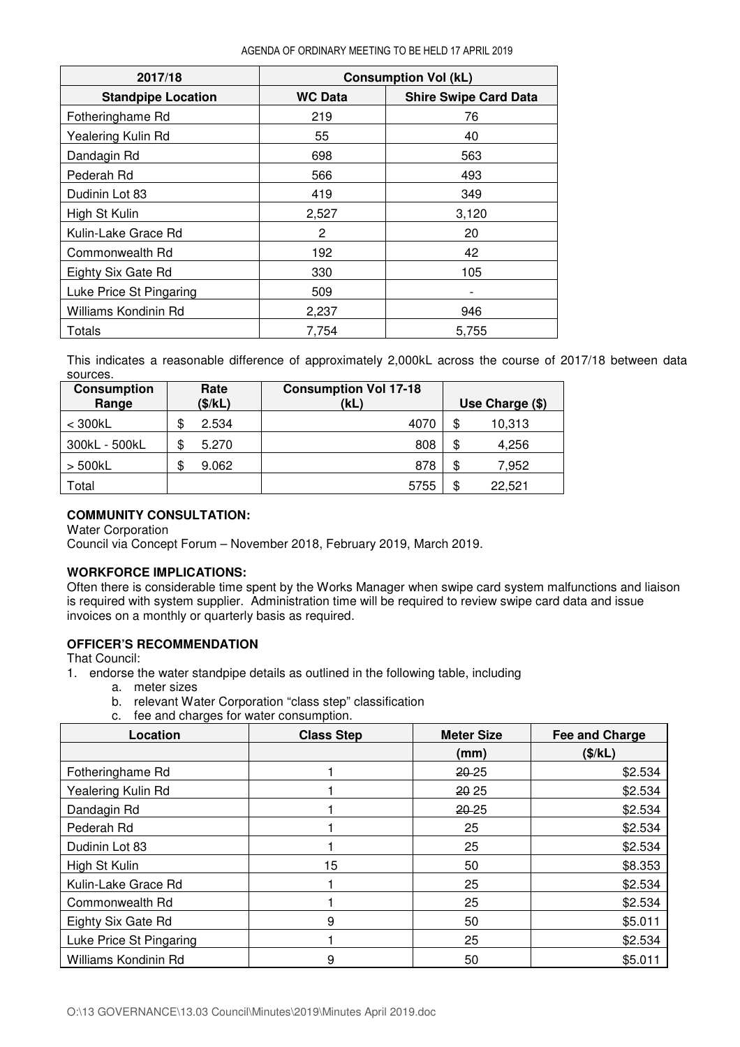| 2017/18                   |                | <b>Consumption Vol (kL)</b>  |
|---------------------------|----------------|------------------------------|
| <b>Standpipe Location</b> | <b>WC Data</b> | <b>Shire Swipe Card Data</b> |
| Fotheringhame Rd          | 219            | 76                           |
| Yealering Kulin Rd        | 55             | 40                           |
| Dandagin Rd               | 698            | 563                          |
| Pederah Rd                | 566            | 493                          |
| Dudinin Lot 83            | 419            | 349                          |
| High St Kulin             | 2,527          | 3,120                        |
| Kulin-Lake Grace Rd       | 2              | 20                           |
| Commonwealth Rd           | 192            | 42                           |
| Eighty Six Gate Rd        | 330            | 105                          |
| Luke Price St Pingaring   | 509            |                              |
| Williams Kondinin Rd      | 2,237          | 946                          |
| Totals                    | 7,754          | 5,755                        |

This indicates a reasonable difference of approximately 2,000kL across the course of 2017/18 between data sources.

| <b>Consumption</b> | Rate        | <b>Consumption Vol 17-18</b> |                 |        |  |
|--------------------|-------------|------------------------------|-----------------|--------|--|
| Range              | (\$/kL)     | (kL)                         | Use Charge (\$) |        |  |
| $<$ 300 $kL$       | 2.534       | 4070                         | \$              | 10,313 |  |
| 300kL - 500kL      | 5.270       | 808                          | \$              | 4,256  |  |
| $>$ 500 $k$ L      | \$<br>9.062 | 878                          | \$              | 7,952  |  |
| Total              |             | 5755                         | \$              | 22.521 |  |

# **COMMUNITY CONSULTATION:**

Water Corporation

Council via Concept Forum – November 2018, February 2019, March 2019.

## **WORKFORCE IMPLICATIONS:**

Often there is considerable time spent by the Works Manager when swipe card system malfunctions and liaison is required with system supplier. Administration time will be required to review swipe card data and issue invoices on a monthly or quarterly basis as required.

## **OFFICER'S RECOMMENDATION**

That Council:

- 1. endorse the water standpipe details as outlined in the following table, including
	- a. meter sizes
	- b. relevant Water Corporation "class step" classification
	- c. fee and charges for water consumption.

| Location                | <b>Class Step</b> | <b>Meter Size</b> | Fee and Charge |  |
|-------------------------|-------------------|-------------------|----------------|--|
|                         |                   | (mm)              | (\$/kL)        |  |
| Fotheringhame Rd        |                   | 20-25             | \$2.534        |  |
| Yealering Kulin Rd      |                   | 20 25             | \$2.534        |  |
| Dandagin Rd             |                   | 20-25             | \$2.534        |  |
| Pederah Rd              |                   | 25                | \$2.534        |  |
| Dudinin Lot 83          |                   | 25                | \$2.534        |  |
| High St Kulin           | 15                | 50                | \$8.353        |  |
| Kulin-Lake Grace Rd     |                   | 25                | \$2.534        |  |
| Commonwealth Rd         |                   | 25                | \$2.534        |  |
| Eighty Six Gate Rd      | 9                 | 50                | \$5.011        |  |
| Luke Price St Pingaring |                   | 25                | \$2.534        |  |
| Williams Kondinin Rd    | 9                 | 50                | \$5.011        |  |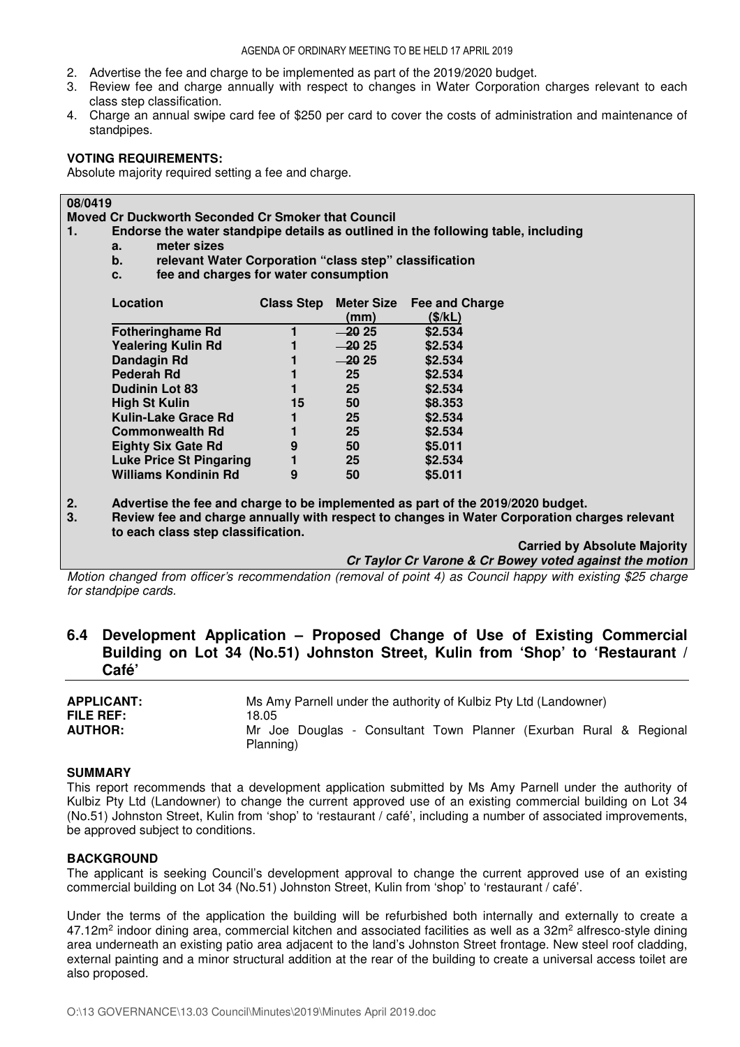- 2. Advertise the fee and charge to be implemented as part of the 2019/2020 budget.
- 3. Review fee and charge annually with respect to changes in Water Corporation charges relevant to each class step classification.
- 4. Charge an annual swipe card fee of \$250 per card to cover the costs of administration and maintenance of standpipes.

## **VOTING REQUIREMENTS:**

Absolute majority required setting a fee and charge.

## **08/0419**

**Moved Cr Duckworth Seconded Cr Smoker that Council**

- **1. Endorse the water standpipe details as outlined in the following table, including** 
	- **a. meter sizes**
	- **b. relevant Water Corporation "class step" classification**
	- **c. fee and charges for water consumption**

| Location                       | <b>Class Step</b> | <b>Meter Size</b> | Fee and Charge |
|--------------------------------|-------------------|-------------------|----------------|
|                                |                   | (mm)              | (\$/kL)        |
| <b>Fotheringhame Rd</b>        |                   | $-20.25$          | \$2.534        |
| <b>Yealering Kulin Rd</b>      |                   | $-20.25$          | \$2.534        |
| Dandagin Rd                    |                   | $-20.25$          | \$2.534        |
| Pederah Rd                     |                   | 25                | \$2.534        |
| <b>Dudinin Lot 83</b>          |                   | 25                | \$2.534        |
| <b>High St Kulin</b>           | 15                | 50                | \$8.353        |
| Kulin-Lake Grace Rd            |                   | 25                | \$2.534        |
| <b>Commonwealth Rd</b>         |                   | 25                | \$2.534        |
| <b>Eighty Six Gate Rd</b>      | 9                 | 50                | \$5.011        |
| <b>Luke Price St Pingaring</b> |                   | 25                | \$2.534        |
| <b>Williams Kondinin Rd</b>    | 9                 | 50                | \$5.011        |

**2. Advertise the fee and charge to be implemented as part of the 2019/2020 budget.** 

**3. Review fee and charge annually with respect to changes in Water Corporation charges relevant to each class step classification.** 

> **Carried by Absolute Majority Cr Taylor Cr Varone & Cr Bowey voted against the motion**

*Motion changed from officer's recommendation (removal of point 4) as Council happy with existing \$25 charge for standpipe cards.* 

# **6.4 Development Application – Proposed Change of Use of Existing Commercial Building on Lot 34 (No.51) Johnston Street, Kulin from 'Shop' to 'Restaurant / Café'**

| <b>APPLICANT:</b> | Ms Amy Parnell under the authority of Kulbiz Pty Ltd (Landowner)   |  |  |
|-------------------|--------------------------------------------------------------------|--|--|
| <b>FILE REF:</b>  | 18.05                                                              |  |  |
| <b>AUTHOR:</b>    | Mr Joe Douglas - Consultant Town Planner (Exurban Rural & Regional |  |  |
|                   | Planning)                                                          |  |  |

#### **SUMMARY**

This report recommends that a development application submitted by Ms Amy Parnell under the authority of Kulbiz Pty Ltd (Landowner) to change the current approved use of an existing commercial building on Lot 34 (No.51) Johnston Street, Kulin from 'shop' to 'restaurant / café', including a number of associated improvements, be approved subject to conditions.

#### **BACKGROUND**

The applicant is seeking Council's development approval to change the current approved use of an existing commercial building on Lot 34 (No.51) Johnston Street, Kulin from 'shop' to 'restaurant / café'.

Under the terms of the application the building will be refurbished both internally and externally to create a 47.12m<sup>2</sup> indoor dining area, commercial kitchen and associated facilities as well as a 32m<sup>2</sup> alfresco-style dining area underneath an existing patio area adjacent to the land's Johnston Street frontage. New steel roof cladding, external painting and a minor structural addition at the rear of the building to create a universal access toilet are also proposed.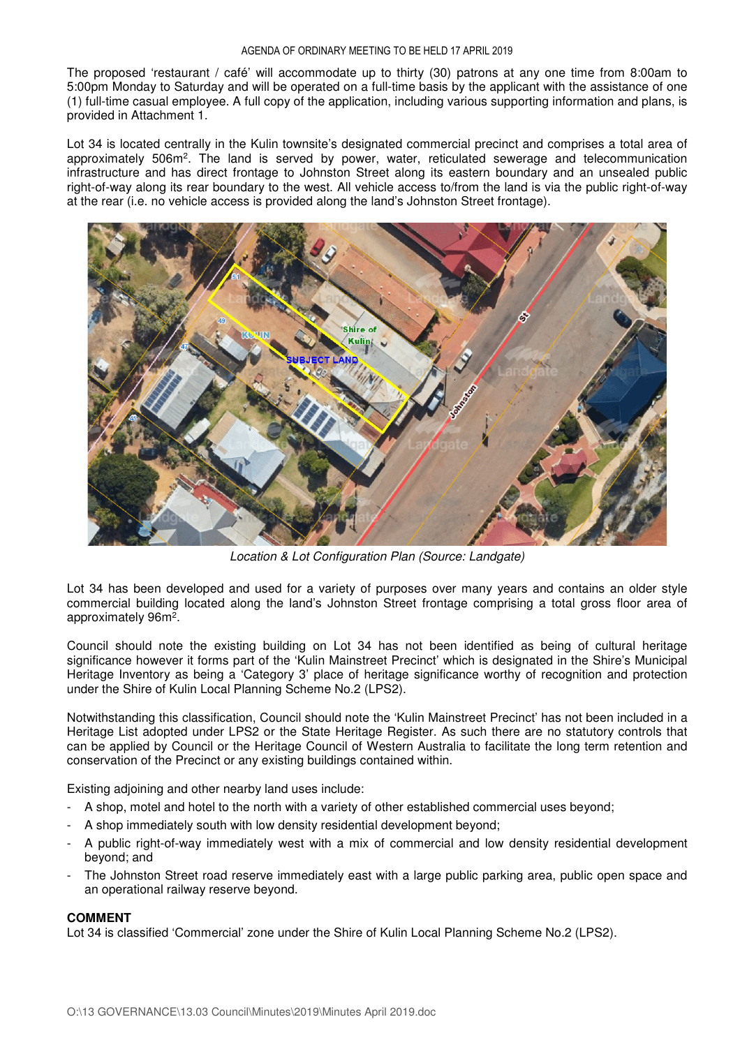The proposed 'restaurant / café' will accommodate up to thirty (30) patrons at any one time from 8:00am to 5:00pm Monday to Saturday and will be operated on a full-time basis by the applicant with the assistance of one (1) full-time casual employee. A full copy of the application, including various supporting information and plans, is provided in Attachment 1.

Lot 34 is located centrally in the Kulin townsite's designated commercial precinct and comprises a total area of approximately 506m<sup>2</sup>. The land is served by power, water, reticulated sewerage and telecommunication infrastructure and has direct frontage to Johnston Street along its eastern boundary and an unsealed public right-of-way along its rear boundary to the west. All vehicle access to/from the land is via the public right-of-way at the rear (i.e. no vehicle access is provided along the land's Johnston Street frontage).



*Location & Lot Configuration Plan (Source: Landgate)* 

Lot 34 has been developed and used for a variety of purposes over many years and contains an older style commercial building located along the land's Johnston Street frontage comprising a total gross floor area of approximately 96m<sup>2</sup>.

Council should note the existing building on Lot 34 has not been identified as being of cultural heritage significance however it forms part of the 'Kulin Mainstreet Precinct' which is designated in the Shire's Municipal Heritage Inventory as being a 'Category 3' place of heritage significance worthy of recognition and protection under the Shire of Kulin Local Planning Scheme No.2 (LPS2).

Notwithstanding this classification, Council should note the 'Kulin Mainstreet Precinct' has not been included in a Heritage List adopted under LPS2 or the State Heritage Register. As such there are no statutory controls that can be applied by Council or the Heritage Council of Western Australia to facilitate the long term retention and conservation of the Precinct or any existing buildings contained within.

Existing adjoining and other nearby land uses include:

- A shop, motel and hotel to the north with a variety of other established commercial uses beyond;
- A shop immediately south with low density residential development beyond;
- A public right-of-way immediately west with a mix of commercial and low density residential development beyond; and
- The Johnston Street road reserve immediately east with a large public parking area, public open space and an operational railway reserve beyond.

#### **COMMENT**

Lot 34 is classified 'Commercial' zone under the Shire of Kulin Local Planning Scheme No.2 (LPS2).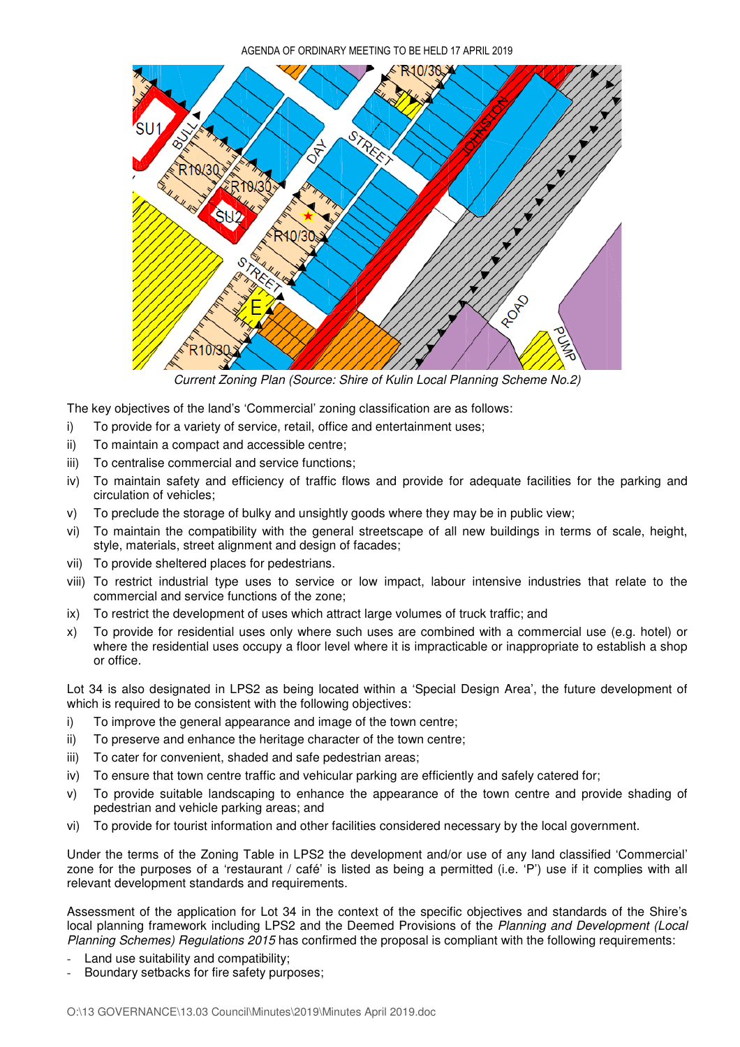

*Current Zoning Plan (Source: Shire of Kulin Local Planning Scheme No.2)* 

The key objectives of the land's 'Commercial' zoning classification are as follows:

- i) To provide for a variety of service, retail, office and entertainment uses;
- ii) To maintain a compact and accessible centre;
- iii) To centralise commercial and service functions;
- iv) To maintain safety and efficiency of traffic flows and provide for adequate facilities for the parking and circulation of vehicles;
- v) To preclude the storage of bulky and unsightly goods where they may be in public view;
- vi) To maintain the compatibility with the general streetscape of all new buildings in terms of scale, height, style, materials, street alignment and design of facades;
- vii) To provide sheltered places for pedestrians.
- viii) To restrict industrial type uses to service or low impact, labour intensive industries that relate to the commercial and service functions of the zone;
- ix) To restrict the development of uses which attract large volumes of truck traffic; and
- x) To provide for residential uses only where such uses are combined with a commercial use (e.g. hotel) or where the residential uses occupy a floor level where it is impracticable or inappropriate to establish a shop or office.

Lot 34 is also designated in LPS2 as being located within a 'Special Design Area', the future development of which is required to be consistent with the following objectives:

- i) To improve the general appearance and image of the town centre;
- ii) To preserve and enhance the heritage character of the town centre;
- iii) To cater for convenient, shaded and safe pedestrian areas;
- iv) To ensure that town centre traffic and vehicular parking are efficiently and safely catered for;
- v) To provide suitable landscaping to enhance the appearance of the town centre and provide shading of pedestrian and vehicle parking areas; and
- vi) To provide for tourist information and other facilities considered necessary by the local government.

Under the terms of the Zoning Table in LPS2 the development and/or use of any land classified 'Commercial' zone for the purposes of a 'restaurant / café' is listed as being a permitted (i.e. 'P') use if it complies with all relevant development standards and requirements.

Assessment of the application for Lot 34 in the context of the specific objectives and standards of the Shire's local planning framework including LPS2 and the Deemed Provisions of the *Planning and Development (Local Planning Schemes) Regulations 2015* has confirmed the proposal is compliant with the following requirements:

- Land use suitability and compatibility;
- Boundary setbacks for fire safety purposes;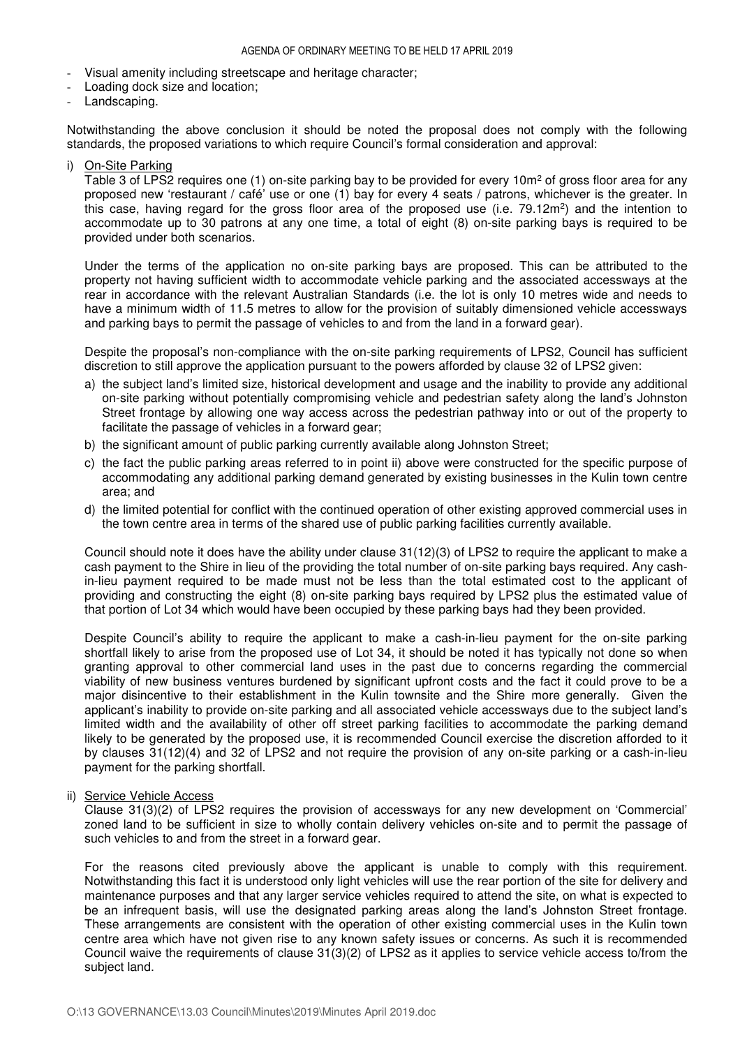- Visual amenity including streetscape and heritage character;
- Loading dock size and location;
- Landscaping.

Notwithstanding the above conclusion it should be noted the proposal does not comply with the following standards, the proposed variations to which require Council's formal consideration and approval:

On-Site Parking

Table 3 of LPS2 requires one (1) on-site parking bay to be provided for every 10m<sup>2</sup> of gross floor area for any proposed new 'restaurant / café' use or one (1) bay for every 4 seats / patrons, whichever is the greater. In this case, having regard for the gross floor area of the proposed use (i.e. 79.12m<sup>2</sup>) and the intention to accommodate up to 30 patrons at any one time, a total of eight (8) on-site parking bays is required to be provided under both scenarios.

Under the terms of the application no on-site parking bays are proposed. This can be attributed to the property not having sufficient width to accommodate vehicle parking and the associated accessways at the rear in accordance with the relevant Australian Standards (i.e. the lot is only 10 metres wide and needs to have a minimum width of 11.5 metres to allow for the provision of suitably dimensioned vehicle accessways and parking bays to permit the passage of vehicles to and from the land in a forward gear).

Despite the proposal's non-compliance with the on-site parking requirements of LPS2, Council has sufficient discretion to still approve the application pursuant to the powers afforded by clause 32 of LPS2 given:

- a) the subject land's limited size, historical development and usage and the inability to provide any additional on-site parking without potentially compromising vehicle and pedestrian safety along the land's Johnston Street frontage by allowing one way access across the pedestrian pathway into or out of the property to facilitate the passage of vehicles in a forward gear;
- b) the significant amount of public parking currently available along Johnston Street;
- c) the fact the public parking areas referred to in point ii) above were constructed for the specific purpose of accommodating any additional parking demand generated by existing businesses in the Kulin town centre area; and
- d) the limited potential for conflict with the continued operation of other existing approved commercial uses in the town centre area in terms of the shared use of public parking facilities currently available.

Council should note it does have the ability under clause 31(12)(3) of LPS2 to require the applicant to make a cash payment to the Shire in lieu of the providing the total number of on-site parking bays required. Any cashin-lieu payment required to be made must not be less than the total estimated cost to the applicant of providing and constructing the eight (8) on-site parking bays required by LPS2 plus the estimated value of that portion of Lot 34 which would have been occupied by these parking bays had they been provided.

Despite Council's ability to require the applicant to make a cash-in-lieu payment for the on-site parking shortfall likely to arise from the proposed use of Lot 34, it should be noted it has typically not done so when granting approval to other commercial land uses in the past due to concerns regarding the commercial viability of new business ventures burdened by significant upfront costs and the fact it could prove to be a major disincentive to their establishment in the Kulin townsite and the Shire more generally. Given the applicant's inability to provide on-site parking and all associated vehicle accessways due to the subject land's limited width and the availability of other off street parking facilities to accommodate the parking demand likely to be generated by the proposed use, it is recommended Council exercise the discretion afforded to it by clauses 31(12)(4) and 32 of LPS2 and not require the provision of any on-site parking or a cash-in-lieu payment for the parking shortfall.

ii) Service Vehicle Access

Clause 31(3)(2) of LPS2 requires the provision of accessways for any new development on 'Commercial' zoned land to be sufficient in size to wholly contain delivery vehicles on-site and to permit the passage of such vehicles to and from the street in a forward gear.

For the reasons cited previously above the applicant is unable to comply with this requirement. Notwithstanding this fact it is understood only light vehicles will use the rear portion of the site for delivery and maintenance purposes and that any larger service vehicles required to attend the site, on what is expected to be an infrequent basis, will use the designated parking areas along the land's Johnston Street frontage. These arrangements are consistent with the operation of other existing commercial uses in the Kulin town centre area which have not given rise to any known safety issues or concerns. As such it is recommended Council waive the requirements of clause 31(3)(2) of LPS2 as it applies to service vehicle access to/from the subject land.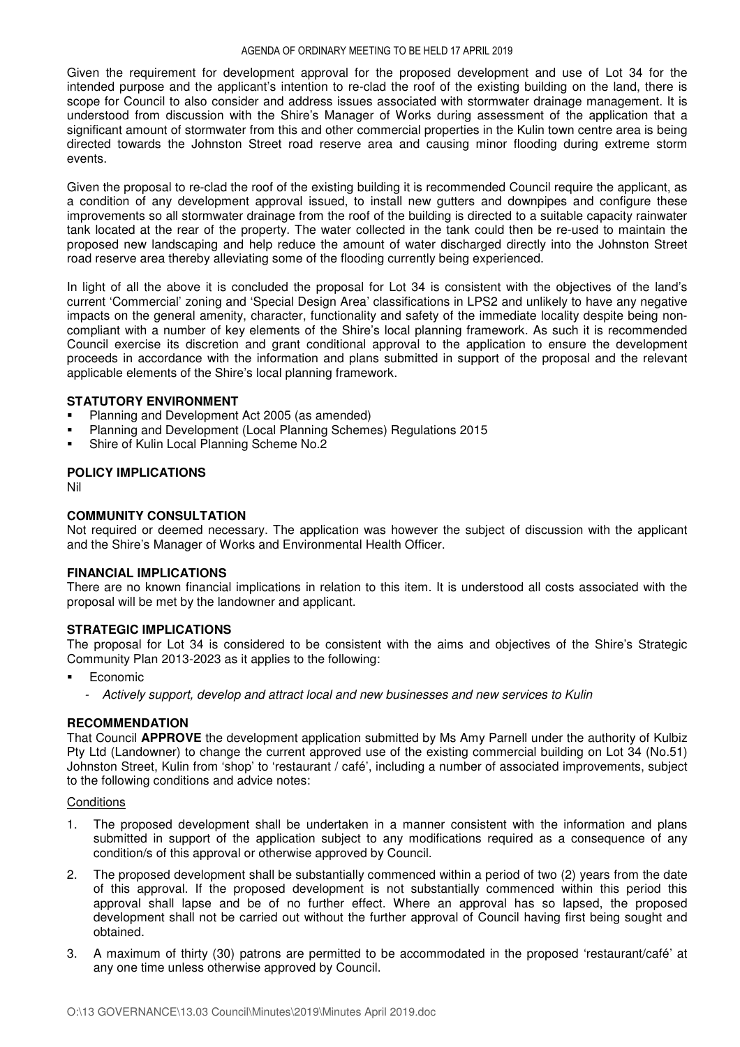Given the requirement for development approval for the proposed development and use of Lot 34 for the intended purpose and the applicant's intention to re-clad the roof of the existing building on the land, there is scope for Council to also consider and address issues associated with stormwater drainage management. It is understood from discussion with the Shire's Manager of Works during assessment of the application that a significant amount of stormwater from this and other commercial properties in the Kulin town centre area is being directed towards the Johnston Street road reserve area and causing minor flooding during extreme storm events.

Given the proposal to re-clad the roof of the existing building it is recommended Council require the applicant, as a condition of any development approval issued, to install new gutters and downpipes and configure these improvements so all stormwater drainage from the roof of the building is directed to a suitable capacity rainwater tank located at the rear of the property. The water collected in the tank could then be re-used to maintain the proposed new landscaping and help reduce the amount of water discharged directly into the Johnston Street road reserve area thereby alleviating some of the flooding currently being experienced.

In light of all the above it is concluded the proposal for Lot 34 is consistent with the objectives of the land's current 'Commercial' zoning and 'Special Design Area' classifications in LPS2 and unlikely to have any negative impacts on the general amenity, character, functionality and safety of the immediate locality despite being noncompliant with a number of key elements of the Shire's local planning framework. As such it is recommended Council exercise its discretion and grant conditional approval to the application to ensure the development proceeds in accordance with the information and plans submitted in support of the proposal and the relevant applicable elements of the Shire's local planning framework.

#### **STATUTORY ENVIRONMENT**

- Planning and Development Act 2005 (as amended)
- Planning and Development (Local Planning Schemes) Regulations 2015
- Shire of Kulin Local Planning Scheme No.2

#### **POLICY IMPLICATIONS**

Nil

## **COMMUNITY CONSULTATION**

Not required or deemed necessary. The application was however the subject of discussion with the applicant and the Shire's Manager of Works and Environmental Health Officer.

#### **FINANCIAL IMPLICATIONS**

There are no known financial implications in relation to this item. It is understood all costs associated with the proposal will be met by the landowner and applicant.

#### **STRATEGIC IMPLICATIONS**

The proposal for Lot 34 is considered to be consistent with the aims and objectives of the Shire's Strategic Community Plan 2013-2023 as it applies to the following:

- Economic
	- *Actively support, develop and attract local and new businesses and new services to Kulin*

## **RECOMMENDATION**

That Council **APPROVE** the development application submitted by Ms Amy Parnell under the authority of Kulbiz Pty Ltd (Landowner) to change the current approved use of the existing commercial building on Lot 34 (No.51) Johnston Street, Kulin from 'shop' to 'restaurant / café', including a number of associated improvements, subject to the following conditions and advice notes:

#### **Conditions**

- 1. The proposed development shall be undertaken in a manner consistent with the information and plans submitted in support of the application subject to any modifications required as a consequence of any condition/s of this approval or otherwise approved by Council.
- 2. The proposed development shall be substantially commenced within a period of two (2) years from the date of this approval. If the proposed development is not substantially commenced within this period this approval shall lapse and be of no further effect. Where an approval has so lapsed, the proposed development shall not be carried out without the further approval of Council having first being sought and obtained.
- 3. A maximum of thirty (30) patrons are permitted to be accommodated in the proposed 'restaurant/café' at any one time unless otherwise approved by Council.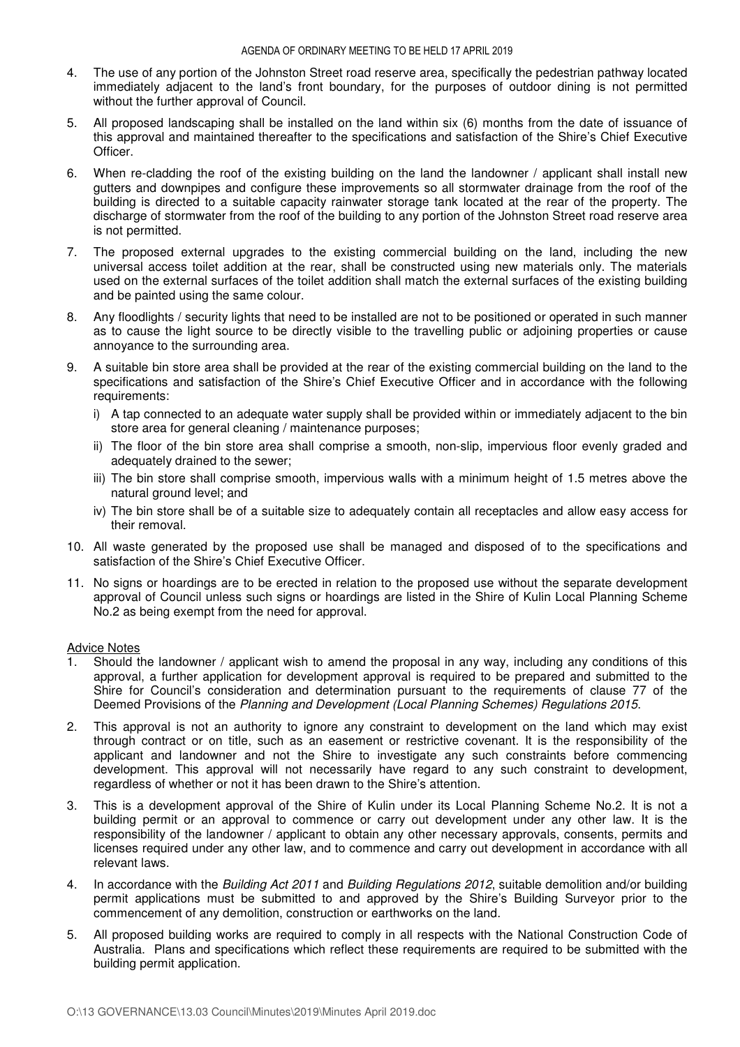- 4. The use of any portion of the Johnston Street road reserve area, specifically the pedestrian pathway located immediately adjacent to the land's front boundary, for the purposes of outdoor dining is not permitted without the further approval of Council.
- 5. All proposed landscaping shall be installed on the land within six (6) months from the date of issuance of this approval and maintained thereafter to the specifications and satisfaction of the Shire's Chief Executive Officer.
- 6. When re-cladding the roof of the existing building on the land the landowner / applicant shall install new gutters and downpipes and configure these improvements so all stormwater drainage from the roof of the building is directed to a suitable capacity rainwater storage tank located at the rear of the property. The discharge of stormwater from the roof of the building to any portion of the Johnston Street road reserve area is not permitted.
- 7. The proposed external upgrades to the existing commercial building on the land, including the new universal access toilet addition at the rear, shall be constructed using new materials only. The materials used on the external surfaces of the toilet addition shall match the external surfaces of the existing building and be painted using the same colour.
- 8. Any floodlights / security lights that need to be installed are not to be positioned or operated in such manner as to cause the light source to be directly visible to the travelling public or adjoining properties or cause annoyance to the surrounding area.
- 9. A suitable bin store area shall be provided at the rear of the existing commercial building on the land to the specifications and satisfaction of the Shire's Chief Executive Officer and in accordance with the following requirements:
	- i) A tap connected to an adequate water supply shall be provided within or immediately adjacent to the bin store area for general cleaning / maintenance purposes;
	- ii) The floor of the bin store area shall comprise a smooth, non-slip, impervious floor evenly graded and adequately drained to the sewer;
	- iii) The bin store shall comprise smooth, impervious walls with a minimum height of 1.5 metres above the natural ground level; and
	- iv) The bin store shall be of a suitable size to adequately contain all receptacles and allow easy access for their removal.
- 10. All waste generated by the proposed use shall be managed and disposed of to the specifications and satisfaction of the Shire's Chief Executive Officer.
- 11. No signs or hoardings are to be erected in relation to the proposed use without the separate development approval of Council unless such signs or hoardings are listed in the Shire of Kulin Local Planning Scheme No.2 as being exempt from the need for approval.

#### Advice Notes

- 1. Should the landowner / applicant wish to amend the proposal in any way, including any conditions of this approval, a further application for development approval is required to be prepared and submitted to the Shire for Council's consideration and determination pursuant to the requirements of clause 77 of the Deemed Provisions of the *Planning and Development (Local Planning Schemes) Regulations 2015*.
- 2. This approval is not an authority to ignore any constraint to development on the land which may exist through contract or on title, such as an easement or restrictive covenant. It is the responsibility of the applicant and landowner and not the Shire to investigate any such constraints before commencing development. This approval will not necessarily have regard to any such constraint to development, regardless of whether or not it has been drawn to the Shire's attention.
- 3. This is a development approval of the Shire of Kulin under its Local Planning Scheme No.2. It is not a building permit or an approval to commence or carry out development under any other law. It is the responsibility of the landowner / applicant to obtain any other necessary approvals, consents, permits and licenses required under any other law, and to commence and carry out development in accordance with all relevant laws.
- 4. In accordance with the *Building Act 2011* and *Building Regulations 2012*, suitable demolition and/or building permit applications must be submitted to and approved by the Shire's Building Surveyor prior to the commencement of any demolition, construction or earthworks on the land.
- 5. All proposed building works are required to comply in all respects with the National Construction Code of Australia. Plans and specifications which reflect these requirements are required to be submitted with the building permit application.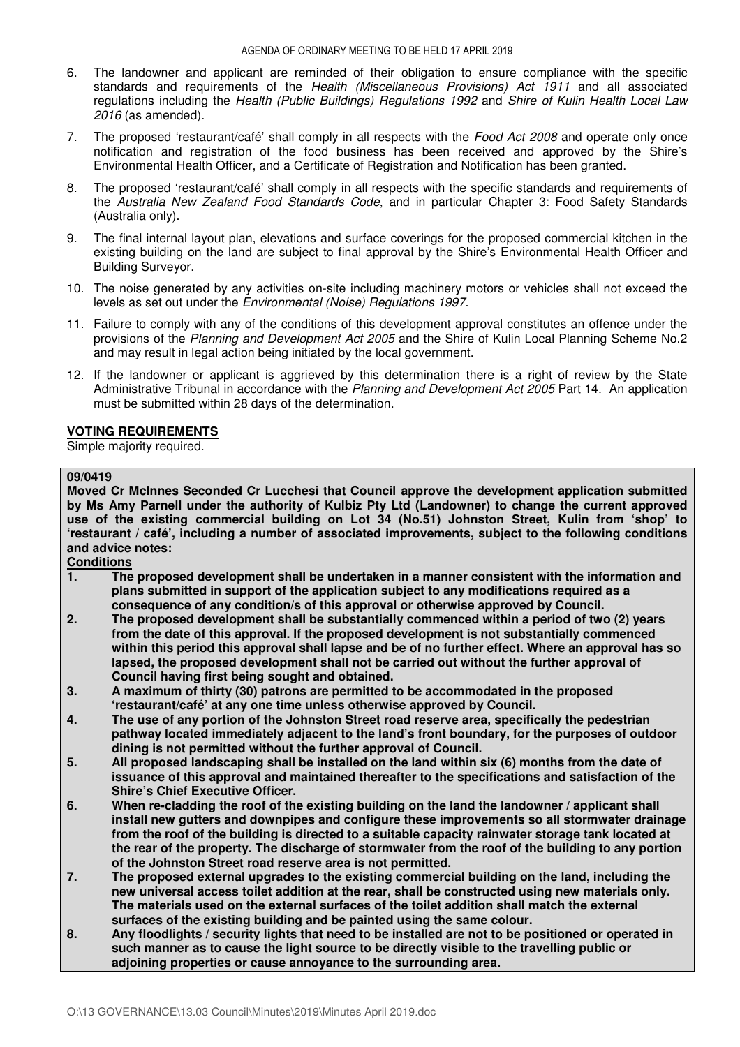- 6. The landowner and applicant are reminded of their obligation to ensure compliance with the specific standards and requirements of the *Health (Miscellaneous Provisions) Act 1911* and all associated regulations including the *Health (Public Buildings) Regulations 1992* and *Shire of Kulin Health Local Law 2016* (as amended).
- 7. The proposed 'restaurant/café' shall comply in all respects with the *Food Act 2008* and operate only once notification and registration of the food business has been received and approved by the Shire's Environmental Health Officer, and a Certificate of Registration and Notification has been granted.
- 8. The proposed 'restaurant/café' shall comply in all respects with the specific standards and requirements of the *Australia New Zealand Food Standards Code*, and in particular Chapter 3: Food Safety Standards (Australia only).
- 9. The final internal layout plan, elevations and surface coverings for the proposed commercial kitchen in the existing building on the land are subject to final approval by the Shire's Environmental Health Officer and Building Surveyor.
- 10. The noise generated by any activities on-site including machinery motors or vehicles shall not exceed the levels as set out under the *Environmental (Noise) Regulations 1997*.
- 11. Failure to comply with any of the conditions of this development approval constitutes an offence under the provisions of the *Planning and Development Act 2005* and the Shire of Kulin Local Planning Scheme No.2 and may result in legal action being initiated by the local government.
- 12. If the landowner or applicant is aggrieved by this determination there is a right of review by the State Administrative Tribunal in accordance with the *Planning and Development Act 2005* Part 14. An application must be submitted within 28 days of the determination.

#### **VOTING REQUIREMENTS**

Simple majority required.

#### **09/0419**

**Moved Cr McInnes Seconded Cr Lucchesi that Council approve the development application submitted by Ms Amy Parnell under the authority of Kulbiz Pty Ltd (Landowner) to change the current approved use of the existing commercial building on Lot 34 (No.51) Johnston Street, Kulin from 'shop' to 'restaurant / café', including a number of associated improvements, subject to the following conditions and advice notes:** 

# **Conditions**

- **1. The proposed development shall be undertaken in a manner consistent with the information and plans submitted in support of the application subject to any modifications required as a consequence of any condition/s of this approval or otherwise approved by Council.**
- **2. The proposed development shall be substantially commenced within a period of two (2) years from the date of this approval. If the proposed development is not substantially commenced within this period this approval shall lapse and be of no further effect. Where an approval has so lapsed, the proposed development shall not be carried out without the further approval of Council having first being sought and obtained.**
- **3. A maximum of thirty (30) patrons are permitted to be accommodated in the proposed 'restaurant/café' at any one time unless otherwise approved by Council.**
- **4. The use of any portion of the Johnston Street road reserve area, specifically the pedestrian pathway located immediately adjacent to the land's front boundary, for the purposes of outdoor dining is not permitted without the further approval of Council.**
- **5. All proposed landscaping shall be installed on the land within six (6) months from the date of issuance of this approval and maintained thereafter to the specifications and satisfaction of the Shire's Chief Executive Officer.**
- **6. When re-cladding the roof of the existing building on the land the landowner / applicant shall install new gutters and downpipes and configure these improvements so all stormwater drainage from the roof of the building is directed to a suitable capacity rainwater storage tank located at the rear of the property. The discharge of stormwater from the roof of the building to any portion of the Johnston Street road reserve area is not permitted.**
- **7. The proposed external upgrades to the existing commercial building on the land, including the new universal access toilet addition at the rear, shall be constructed using new materials only. The materials used on the external surfaces of the toilet addition shall match the external surfaces of the existing building and be painted using the same colour.**
- **8. Any floodlights / security lights that need to be installed are not to be positioned or operated in such manner as to cause the light source to be directly visible to the travelling public or adjoining properties or cause annoyance to the surrounding area.**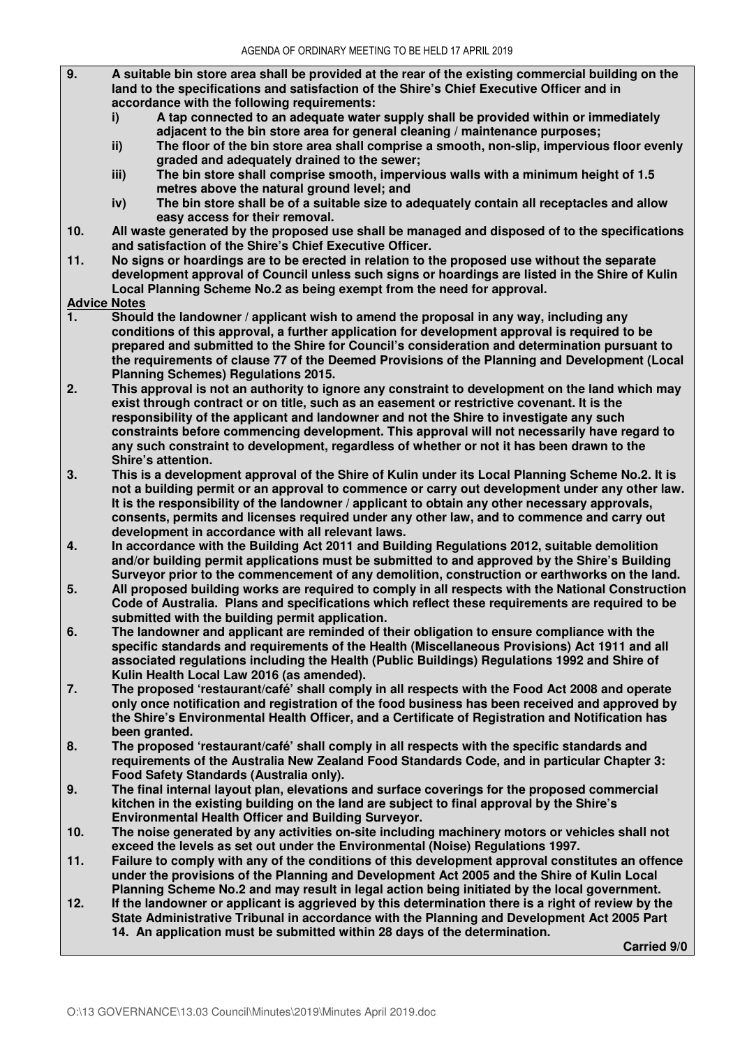- **9. A suitable bin store area shall be provided at the rear of the existing commercial building on the land to the specifications and satisfaction of the Shire's Chief Executive Officer and in accordance with the following requirements:** 
	- **i) A tap connected to an adequate water supply shall be provided within or immediately adjacent to the bin store area for general cleaning / maintenance purposes;**
	- **ii) The floor of the bin store area shall comprise a smooth, non-slip, impervious floor evenly graded and adequately drained to the sewer;**
	- **iii) The bin store shall comprise smooth, impervious walls with a minimum height of 1.5 metres above the natural ground level; and**<br>**iv**) The bin store shall be of a suitable size to a
	- **iv) The bin store shall be of a suitable size to adequately contain all receptacles and allow easy access for their removal.**
- **10. All waste generated by the proposed use shall be managed and disposed of to the specifications and satisfaction of the Shire's Chief Executive Officer.**
- **11. No signs or hoardings are to be erected in relation to the proposed use without the separate development approval of Council unless such signs or hoardings are listed in the Shire of Kulin Local Planning Scheme No.2 as being exempt from the need for approval.**
- **Advice Notes**
- **1. Should the landowner / applicant wish to amend the proposal in any way, including any conditions of this approval, a further application for development approval is required to be prepared and submitted to the Shire for Council's consideration and determination pursuant to the requirements of clause 77 of the Deemed Provisions of the Planning and Development (Local Planning Schemes) Regulations 2015.**
- **2. This approval is not an authority to ignore any constraint to development on the land which may exist through contract or on title, such as an easement or restrictive covenant. It is the responsibility of the applicant and landowner and not the Shire to investigate any such constraints before commencing development. This approval will not necessarily have regard to any such constraint to development, regardless of whether or not it has been drawn to the Shire's attention.**
- **3. This is a development approval of the Shire of Kulin under its Local Planning Scheme No.2. It is not a building permit or an approval to commence or carry out development under any other law. It is the responsibility of the landowner / applicant to obtain any other necessary approvals, consents, permits and licenses required under any other law, and to commence and carry out development in accordance with all relevant laws.**
- **4. In accordance with the Building Act 2011 and Building Regulations 2012, suitable demolition and/or building permit applications must be submitted to and approved by the Shire's Building Surveyor prior to the commencement of any demolition, construction or earthworks on the land.**
- **5. All proposed building works are required to comply in all respects with the National Construction Code of Australia. Plans and specifications which reflect these requirements are required to be submitted with the building permit application.**
- **6. The landowner and applicant are reminded of their obligation to ensure compliance with the specific standards and requirements of the Health (Miscellaneous Provisions) Act 1911 and all associated regulations including the Health (Public Buildings) Regulations 1992 and Shire of Kulin Health Local Law 2016 (as amended).**
- **7. The proposed 'restaurant/café' shall comply in all respects with the Food Act 2008 and operate only once notification and registration of the food business has been received and approved by the Shire's Environmental Health Officer, and a Certificate of Registration and Notification has been granted.**
- **8. The proposed 'restaurant/café' shall comply in all respects with the specific standards and requirements of the Australia New Zealand Food Standards Code, and in particular Chapter 3: Food Safety Standards (Australia only).**
- **9. The final internal layout plan, elevations and surface coverings for the proposed commercial kitchen in the existing building on the land are subject to final approval by the Shire's Environmental Health Officer and Building Surveyor.**
- **10. The noise generated by any activities on-site including machinery motors or vehicles shall not exceed the levels as set out under the Environmental (Noise) Regulations 1997.**
- **11. Failure to comply with any of the conditions of this development approval constitutes an offence under the provisions of the Planning and Development Act 2005 and the Shire of Kulin Local Planning Scheme No.2 and may result in legal action being initiated by the local government.**
- **12. If the landowner or applicant is aggrieved by this determination there is a right of review by the State Administrative Tribunal in accordance with the Planning and Development Act 2005 Part 14. An application must be submitted within 28 days of the determination.**

**Carried 9/0**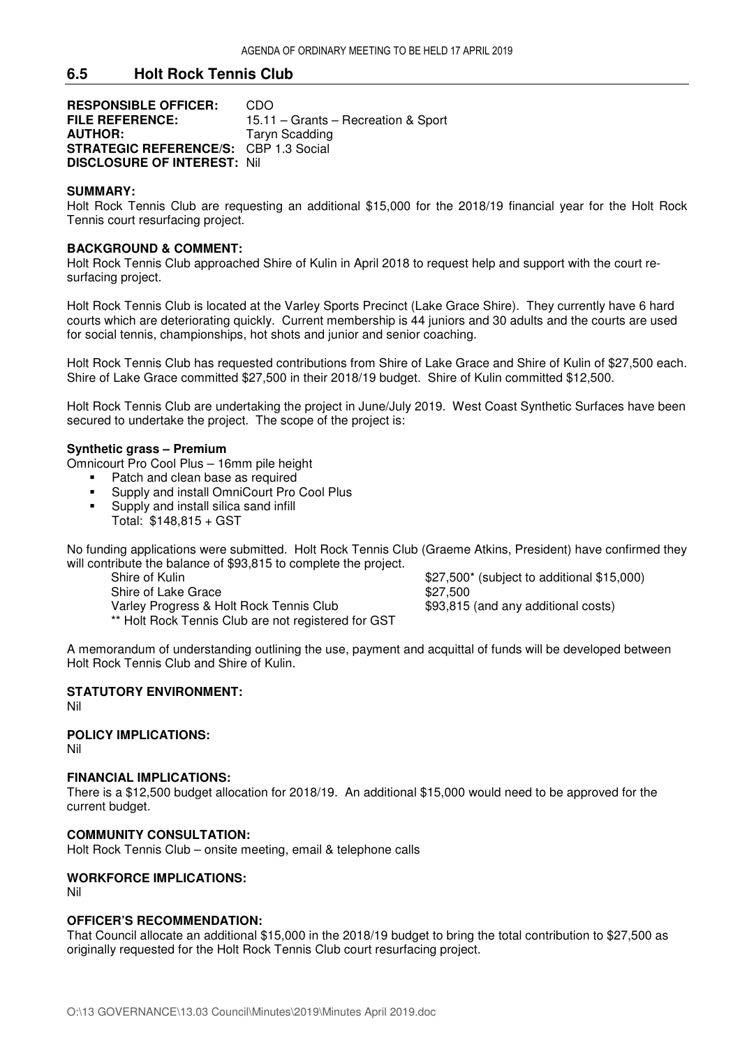## **6.5 Holt Rock Tennis Club**

**RESPONSIBLE OFFICER:** CDO<br>FILE REFERENCE: 15.11 15.11 – Grants – Recreation & Sport **AUTHOR:** Taryn Scadding **STRATEGIC REFERENCE/S:** CBP 1.3 Social **DISCLOSURE OF INTEREST:** Nil

#### **SUMMARY:**

Holt Rock Tennis Club are requesting an additional \$15,000 for the 2018/19 financial year for the Holt Rock Tennis court resurfacing project.

#### **BACKGROUND & COMMENT:**

Holt Rock Tennis Club approached Shire of Kulin in April 2018 to request help and support with the court resurfacing project.

Holt Rock Tennis Club is located at the Varley Sports Precinct (Lake Grace Shire). They currently have 6 hard courts which are deteriorating quickly. Current membership is 44 juniors and 30 adults and the courts are used for social tennis, championships, hot shots and junior and senior coaching.

Holt Rock Tennis Club has requested contributions from Shire of Lake Grace and Shire of Kulin of \$27,500 each. Shire of Lake Grace committed \$27,500 in their 2018/19 budget. Shire of Kulin committed \$12,500.

Holt Rock Tennis Club are undertaking the project in June/July 2019. West Coast Synthetic Surfaces have been secured to undertake the project. The scope of the project is:

#### **Synthetic grass – Premium**

Omnicourt Pro Cool Plus – 16mm pile height

- Patch and clean base as required
- **Supply and install OmniCourt Pro Cool Plus**
- **Supply and install silica sand infill** Total: \$148,815 + GST

No funding applications were submitted. Holt Rock Tennis Club (Graeme Atkins, President) have confirmed they will contribute the balance of \$93,815 to complete the project.<br>Shire of Kulin

Shire of Lake Grace \$27,500 Varley Progress & Holt Rock Tennis Club \$93,815 (and any additional costs) \*\* Holt Rock Tennis Club are not registered for GST

 $$27,500^*$  (subject to additional  $$15,000$ )

A memorandum of understanding outlining the use, payment and acquittal of funds will be developed between Holt Rock Tennis Club and Shire of Kulin.

### **STATUTORY ENVIRONMENT:**

Nil

**POLICY IMPLICATIONS:**  Nil

#### **FINANCIAL IMPLICATIONS:**

There is a \$12,500 budget allocation for 2018/19. An additional \$15,000 would need to be approved for the current budget.

#### **COMMUNITY CONSULTATION:**

Holt Rock Tennis Club – onsite meeting, email & telephone calls

## **WORKFORCE IMPLICATIONS:**

Nil

## **OFFICER'S RECOMMENDATION:**

That Council allocate an additional \$15,000 in the 2018/19 budget to bring the total contribution to \$27,500 as originally requested for the Holt Rock Tennis Club court resurfacing project.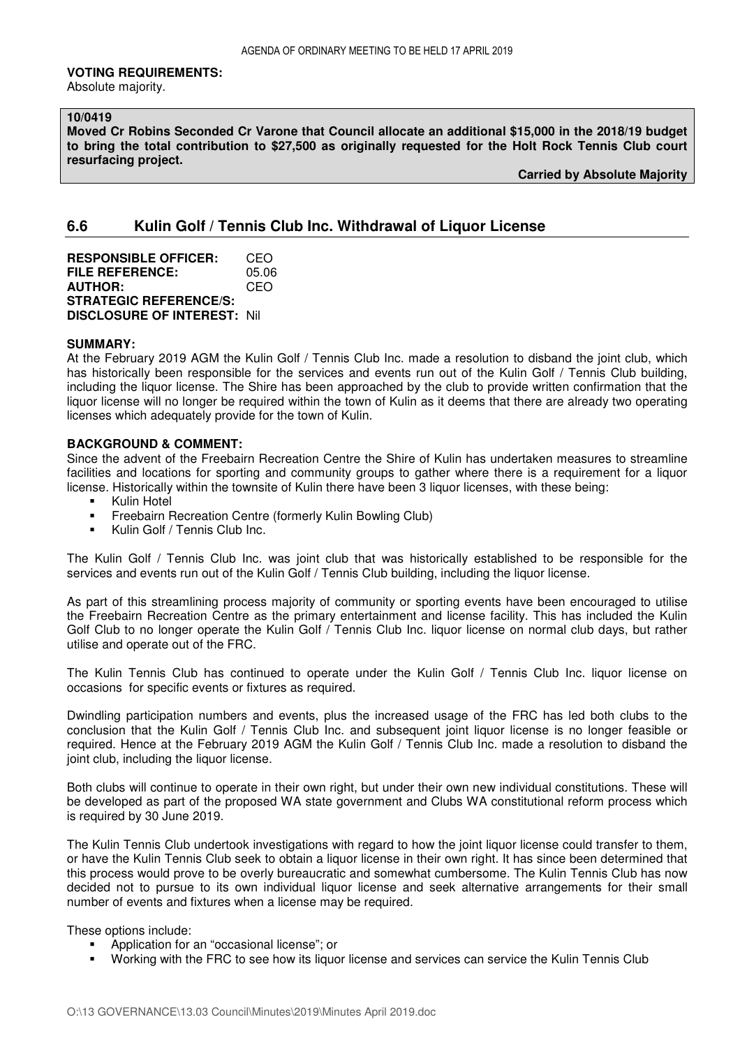#### **VOTING REQUIREMENTS:**

Absolute majority.

## **10/0419**

**Moved Cr Robins Seconded Cr Varone that Council allocate an additional \$15,000 in the 2018/19 budget to bring the total contribution to \$27,500 as originally requested for the Holt Rock Tennis Club court resurfacing project.** 

 **Carried by Absolute Majority**

# **6.6 Kulin Golf / Tennis Club Inc. Withdrawal of Liquor License**

**RESPONSIBLE OFFICER:** CEO **FILE REFERENCE:** 05.06 **AUTHOR: STRATEGIC REFERENCE/S: DISCLOSURE OF INTEREST:** Nil

#### **SUMMARY:**

At the February 2019 AGM the Kulin Golf / Tennis Club Inc. made a resolution to disband the joint club, which has historically been responsible for the services and events run out of the Kulin Golf / Tennis Club building, including the liquor license. The Shire has been approached by the club to provide written confirmation that the liquor license will no longer be required within the town of Kulin as it deems that there are already two operating licenses which adequately provide for the town of Kulin.

#### **BACKGROUND & COMMENT:**

Since the advent of the Freebairn Recreation Centre the Shire of Kulin has undertaken measures to streamline facilities and locations for sporting and community groups to gather where there is a requirement for a liquor license. Historically within the townsite of Kulin there have been 3 liquor licenses, with these being:

- **Kulin Hotel**
- **Freebairn Recreation Centre (formerly Kulin Bowling Club)**
- **Kulin Golf / Tennis Club Inc.**

The Kulin Golf / Tennis Club Inc. was joint club that was historically established to be responsible for the services and events run out of the Kulin Golf / Tennis Club building, including the liquor license.

As part of this streamlining process majority of community or sporting events have been encouraged to utilise the Freebairn Recreation Centre as the primary entertainment and license facility. This has included the Kulin Golf Club to no longer operate the Kulin Golf / Tennis Club Inc. liquor license on normal club days, but rather utilise and operate out of the FRC.

The Kulin Tennis Club has continued to operate under the Kulin Golf / Tennis Club Inc. liquor license on occasions for specific events or fixtures as required.

Dwindling participation numbers and events, plus the increased usage of the FRC has led both clubs to the conclusion that the Kulin Golf / Tennis Club Inc. and subsequent joint liquor license is no longer feasible or required. Hence at the February 2019 AGM the Kulin Golf / Tennis Club Inc. made a resolution to disband the joint club, including the liquor license.

Both clubs will continue to operate in their own right, but under their own new individual constitutions. These will be developed as part of the proposed WA state government and Clubs WA constitutional reform process which is required by 30 June 2019.

The Kulin Tennis Club undertook investigations with regard to how the joint liquor license could transfer to them, or have the Kulin Tennis Club seek to obtain a liquor license in their own right. It has since been determined that this process would prove to be overly bureaucratic and somewhat cumbersome. The Kulin Tennis Club has now decided not to pursue to its own individual liquor license and seek alternative arrangements for their small number of events and fixtures when a license may be required.

These options include:

- Application for an "occasional license"; or
- Working with the FRC to see how its liquor license and services can service the Kulin Tennis Club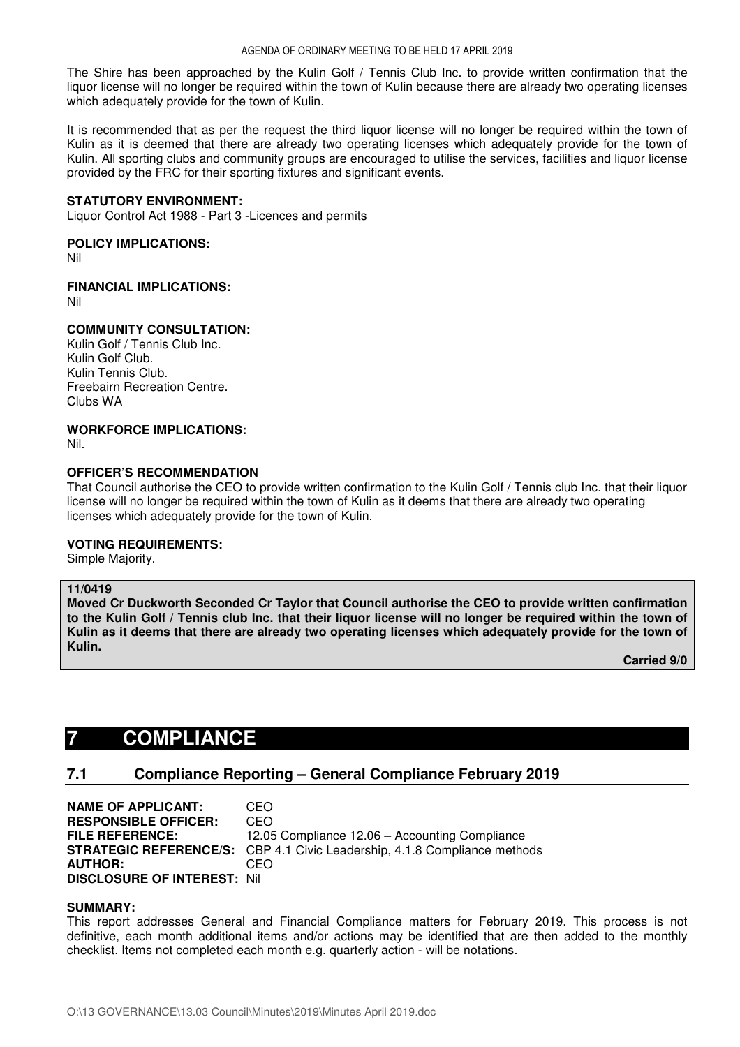The Shire has been approached by the Kulin Golf / Tennis Club Inc. to provide written confirmation that the liquor license will no longer be required within the town of Kulin because there are already two operating licenses which adequately provide for the town of Kulin.

It is recommended that as per the request the third liquor license will no longer be required within the town of Kulin as it is deemed that there are already two operating licenses which adequately provide for the town of Kulin. All sporting clubs and community groups are encouraged to utilise the services, facilities and liquor license provided by the FRC for their sporting fixtures and significant events.

### **STATUTORY ENVIRONMENT:**

Liquor Control Act 1988 - Part 3 -Licences and permits

## **POLICY IMPLICATIONS:**

Nil

## **FINANCIAL IMPLICATIONS:**

Nil

## **COMMUNITY CONSULTATION:**

Kulin Golf / Tennis Club Inc. Kulin Golf Club. Kulin Tennis Club. Freebairn Recreation Centre. Clubs WA

# **WORKFORCE IMPLICATIONS:**

Nil.

## **OFFICER'S RECOMMENDATION**

That Council authorise the CEO to provide written confirmation to the Kulin Golf / Tennis club Inc. that their liquor license will no longer be required within the town of Kulin as it deems that there are already two operating licenses which adequately provide for the town of Kulin.

## **VOTING REQUIREMENTS:**

Simple Majority.

#### **11/0419**

**Moved Cr Duckworth Seconded Cr Taylor that Council authorise the CEO to provide written confirmation to the Kulin Golf / Tennis club Inc. that their liquor license will no longer be required within the town of Kulin as it deems that there are already two operating licenses which adequately provide for the town of Kulin.** 

 **Carried 9/0** 

# **7 COMPLIANCE**

# **7.1 Compliance Reporting – General Compliance February 2019**

**NAME OF APPLICANT:** CEO **RESPONSIBLE OFFICER:** CEO **FILE REFERENCE:** 12.05 Compliance 12.06 – Accounting Compliance **STRATEGIC REFERENCE/S:** CBP 4.1 Civic Leadership, 4.1.8 Compliance methods **AUTHOR:** CEO **DISCLOSURE OF INTEREST:** Nil

#### **SUMMARY:**

This report addresses General and Financial Compliance matters for February 2019. This process is not definitive, each month additional items and/or actions may be identified that are then added to the monthly checklist. Items not completed each month e.g. quarterly action - will be notations.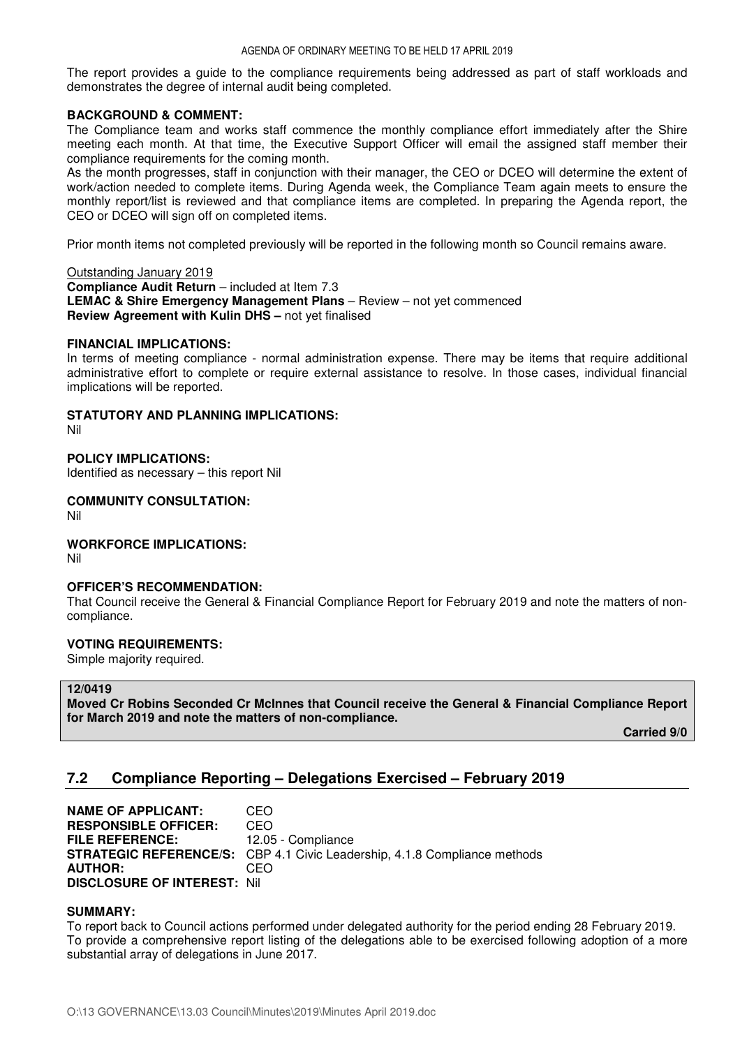The report provides a guide to the compliance requirements being addressed as part of staff workloads and demonstrates the degree of internal audit being completed.

## **BACKGROUND & COMMENT:**

The Compliance team and works staff commence the monthly compliance effort immediately after the Shire meeting each month. At that time, the Executive Support Officer will email the assigned staff member their compliance requirements for the coming month.

As the month progresses, staff in conjunction with their manager, the CEO or DCEO will determine the extent of work/action needed to complete items. During Agenda week, the Compliance Team again meets to ensure the monthly report/list is reviewed and that compliance items are completed. In preparing the Agenda report, the CEO or DCEO will sign off on completed items.

Prior month items not completed previously will be reported in the following month so Council remains aware.

#### Outstanding January 2019

**Compliance Audit Return** – included at Item 7.3 **LEMAC & Shire Emergency Management Plans** – Review – not yet commenced **Review Agreement with Kulin DHS –** not yet finalised

## **FINANCIAL IMPLICATIONS:**

In terms of meeting compliance - normal administration expense. There may be items that require additional administrative effort to complete or require external assistance to resolve. In those cases, individual financial implications will be reported.

## **STATUTORY AND PLANNING IMPLICATIONS:**

Nil

# **POLICY IMPLICATIONS:**

Identified as necessary – this report Nil

#### **COMMUNITY CONSULTATION:**

Nil

## **WORKFORCE IMPLICATIONS:**

Nil

#### **OFFICER'S RECOMMENDATION:**

That Council receive the General & Financial Compliance Report for February 2019 and note the matters of noncompliance.

#### **VOTING REQUIREMENTS:**

Simple majority required.

#### **12/0419**

**Moved Cr Robins Seconded Cr McInnes that Council receive the General & Financial Compliance Report for March 2019 and note the matters of non-compliance.** 

 **Carried 9/0** 

# **7.2 Compliance Reporting – Delegations Exercised – February 2019**

**NAME OF APPLICANT:** CEO **RESPONSIBLE OFFICER:** CEO **FILE REFERENCE:** 12.05 - Compliance **STRATEGIC REFERENCE/S:** CBP 4.1 Civic Leadership, 4.1.8 Compliance methods **AUTHOR:** CEO **DISCLOSURE OF INTEREST:** Nil

## **SUMMARY:**

To report back to Council actions performed under delegated authority for the period ending 28 February 2019. To provide a comprehensive report listing of the delegations able to be exercised following adoption of a more substantial array of delegations in June 2017.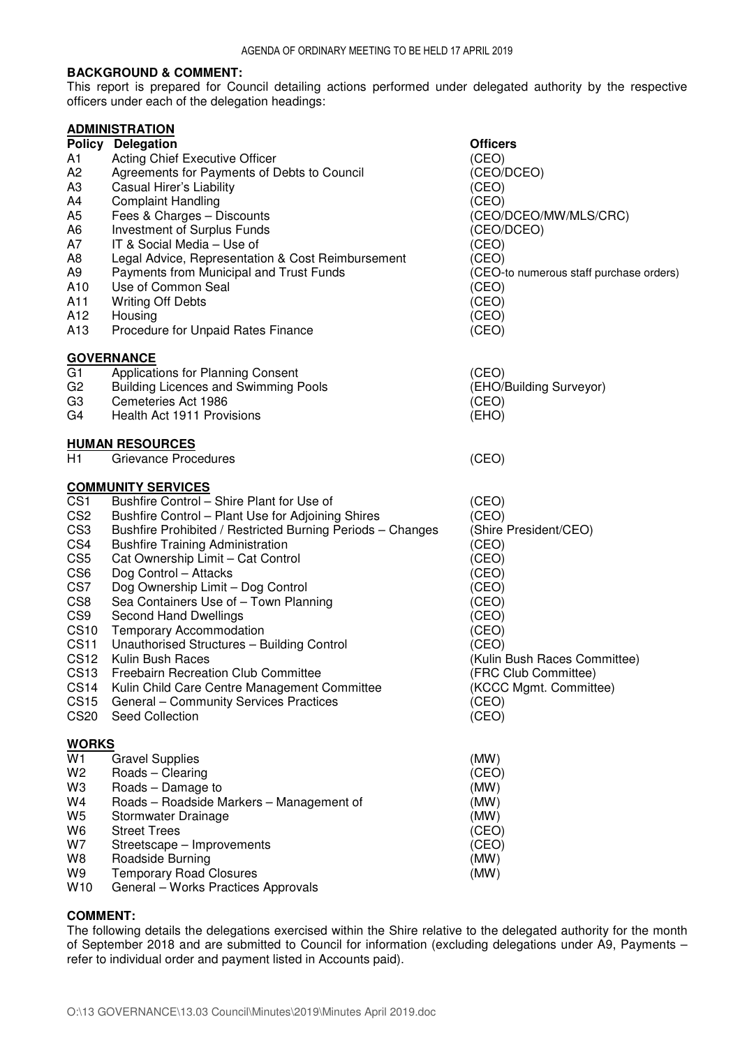## **BACKGROUND & COMMENT:**

This report is prepared for Council detailing actions performed under delegated authority by the respective officers under each of the delegation headings:

|                 | <b>ADMINISTRATION</b>                                      |                                         |
|-----------------|------------------------------------------------------------|-----------------------------------------|
|                 | <b>Policy Delegation</b>                                   | <b>Officers</b>                         |
| А1              | <b>Acting Chief Executive Officer</b>                      | (CEO)                                   |
| A2              | Agreements for Payments of Debts to Council                | (CEO/DCEO)                              |
| ΑЗ              | Casual Hirer's Liability                                   | (CEO)                                   |
| A4              | <b>Complaint Handling</b>                                  | (CEO)                                   |
| A5              | Fees & Charges - Discounts                                 | (CEO/DCEO/MW/MLS/CRC)                   |
| A6              | Investment of Surplus Funds                                | (CEO/DCEO)                              |
| Α7              | IT & Social Media – Use of                                 | (CEO)                                   |
| A8              | Legal Advice, Representation & Cost Reimbursement          | (CEO)                                   |
| A9              | Payments from Municipal and Trust Funds                    | (CEO-to numerous staff purchase orders) |
| A10             | Use of Common Seal                                         | (CEO)                                   |
| A11             | <b>Writing Off Debts</b>                                   | (CEO)                                   |
| A12             | Housing                                                    | (CEO)                                   |
| A13             | Procedure for Unpaid Rates Finance                         | (CEO)                                   |
|                 | <b>GOVERNANCE</b>                                          |                                         |
| G1              | Applications for Planning Consent                          | (CEO)                                   |
| G2              | <b>Building Licences and Swimming Pools</b>                | (EHO/Building Surveyor)                 |
| G3              | Cemeteries Act 1986                                        | (CEO)                                   |
| G4              | Health Act 1911 Provisions                                 | (EHO)                                   |
|                 | <b>HUMAN RESOURCES</b>                                     |                                         |
| H1              | Grievance Procedures                                       | (CEO)                                   |
|                 |                                                            |                                         |
|                 | <b>COMMUNITY SERVICES</b>                                  |                                         |
| CS <sub>1</sub> | Bushfire Control - Shire Plant for Use of                  | (CEO)                                   |
| CS <sub>2</sub> | Bushfire Control - Plant Use for Adjoining Shires          | (CEO)                                   |
| CS <sub>3</sub> | Bushfire Prohibited / Restricted Burning Periods - Changes | (Shire President/CEO)                   |
| CS4             | <b>Bushfire Training Administration</b>                    | (CEO)                                   |
| CS <sub>5</sub> | Cat Ownership Limit - Cat Control                          | (CEO)                                   |
| CS <sub>6</sub> | Dog Control - Attacks                                      | (CEO)                                   |
| CS7             | Dog Ownership Limit - Dog Control                          | (CEO)                                   |
| CS <sub>8</sub> | Sea Containers Use of - Town Planning                      | (CEO)                                   |
| CS <sub>9</sub> | <b>Second Hand Dwellings</b>                               | (CEO)                                   |
| <b>CS10</b>     | <b>Temporary Accommodation</b>                             | (CEO)                                   |
| <b>CS11</b>     | Unauthorised Structures - Building Control                 | (CEO)                                   |
| <b>CS12</b>     | Kulin Bush Races                                           | (Kulin Bush Races Committee)            |
| <b>CS13</b>     | Freebairn Recreation Club Committee                        | (FRC Club Committee)                    |
| <b>CS14</b>     | Kulin Child Care Centre Management Committee               | (KCCC Mgmt. Committee)                  |
| <b>CS15</b>     | <b>General - Community Services Practices</b>              | (CEO)                                   |
| <b>CS20</b>     | Seed Collection                                            | (CEO)                                   |
| <b>WORKS</b>    |                                                            |                                         |
| W1              | <b>Gravel Supplies</b>                                     | (MW)                                    |
| W2              | Roads - Clearing                                           | (CEO)                                   |
| W3              | Roads - Damage to                                          | (MW)                                    |
| W4              | Roads - Roadside Markers - Management of                   | (MW)                                    |
| W5              | Stormwater Drainage                                        | (MW)                                    |
| W6              | <b>Street Trees</b>                                        | (CEO)                                   |
| W7              | Streetscape - Improvements                                 | (CEO)                                   |
| W8              | Roadside Burning                                           | (MW)                                    |
| W9              | <b>Temporary Road Closures</b>                             | (MW)                                    |
| W10             | General - Works Practices Approvals                        |                                         |

## **COMMENT:**

The following details the delegations exercised within the Shire relative to the delegated authority for the month of September 2018 and are submitted to Council for information (excluding delegations under A9, Payments – refer to individual order and payment listed in Accounts paid).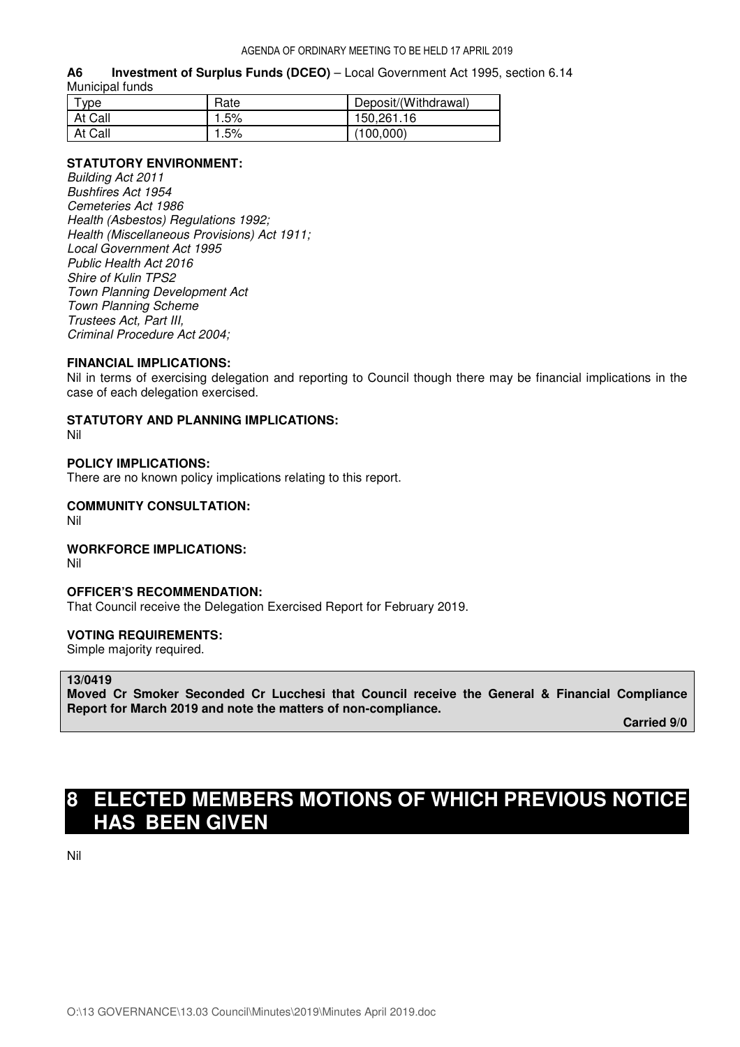#### **A6 Investment of Surplus Funds (DCEO)** – Local Government Act 1995, section 6.14 Municipal funds

| <b>vpe</b> | Rate | Deposit/(Withdrawal) |
|------------|------|----------------------|
| At Call    | .5%  | 150,261.16           |
| At Call    | .5%  | (100,000)            |

## **STATUTORY ENVIRONMENT:**

*Building Act 2011 Bushfires Act 1954 Cemeteries Act 1986 Health (Asbestos) Regulations 1992; Health (Miscellaneous Provisions) Act 1911; Local Government Act 1995 Public Health Act 2016 Shire of Kulin TPS2 Town Planning Development Act Town Planning Scheme Trustees Act, Part III, Criminal Procedure Act 2004;* 

#### **FINANCIAL IMPLICATIONS:**

Nil in terms of exercising delegation and reporting to Council though there may be financial implications in the case of each delegation exercised.

## **STATUTORY AND PLANNING IMPLICATIONS:**

Nil

## **POLICY IMPLICATIONS:**

There are no known policy implications relating to this report.

## **COMMUNITY CONSULTATION:**

Nil

#### **WORKFORCE IMPLICATIONS:**

Nil

#### **OFFICER'S RECOMMENDATION:**

That Council receive the Delegation Exercised Report for February 2019.

#### **VOTING REQUIREMENTS:**

Simple majority required.

## **13/0419**

**Moved Cr Smoker Seconded Cr Lucchesi that Council receive the General & Financial Compliance Report for March 2019 and note the matters of non-compliance.** 

 **Carried 9/0** 

# **8 ELECTED MEMBERS MOTIONS OF WHICH PREVIOUS NOTICE HAS BEEN GIVEN**

Nil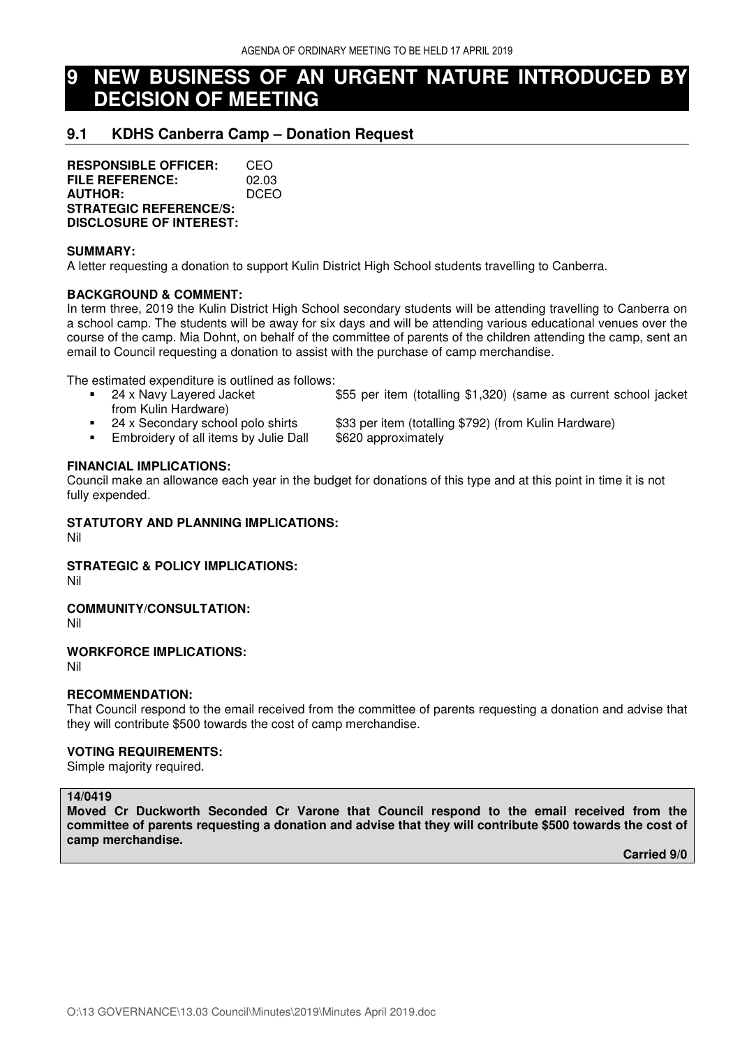# **9 NEW BUSINESS OF AN URGENT NATURE INTRODUCED BY DECISION OF MEETING**

# **9.1 KDHS Canberra Camp – Donation Request**

**RESPONSIBLE OFFICER:** CEO<br>**FILE REFERENCE:** 02.03 **FILE REFERENCE: AUTHOR:** DCEO **STRATEGIC REFERENCE/S: DISCLOSURE OF INTEREST:** 

### **SUMMARY:**

A letter requesting a donation to support Kulin District High School students travelling to Canberra.

## **BACKGROUND & COMMENT:**

In term three, 2019 the Kulin District High School secondary students will be attending travelling to Canberra on a school camp. The students will be away for six days and will be attending various educational venues over the course of the camp. Mia Dohnt, on behalf of the committee of parents of the children attending the camp, sent an email to Council requesting a donation to assist with the purchase of camp merchandise.

The estimated expenditure is outlined as follows:

- 24 x Navy Layered Jacket \$55 per item (totalling \$1,320) (same as current school jacket from Kulin Hardware)
- 
- **Embroidery of all items by Julie Dall \$620 approximately**
- 24 x Secondary school polo shirts \$33 per item (totalling \$792) (from Kulin Hardware)
	-

## **FINANCIAL IMPLICATIONS:**

Council make an allowance each year in the budget for donations of this type and at this point in time it is not fully expended.

## **STATUTORY AND PLANNING IMPLICATIONS:**

Nil

## **STRATEGIC & POLICY IMPLICATIONS:**

Nil

## **COMMUNITY/CONSULTATION:**

Nil

## **WORKFORCE IMPLICATIONS:**

Nil

## **RECOMMENDATION:**

That Council respond to the email received from the committee of parents requesting a donation and advise that they will contribute \$500 towards the cost of camp merchandise.

#### **VOTING REQUIREMENTS:**

Simple majority required.

#### **14/0419**

**Moved Cr Duckworth Seconded Cr Varone that Council respond to the email received from the committee of parents requesting a donation and advise that they will contribute \$500 towards the cost of camp merchandise.** 

 **Carried 9/0**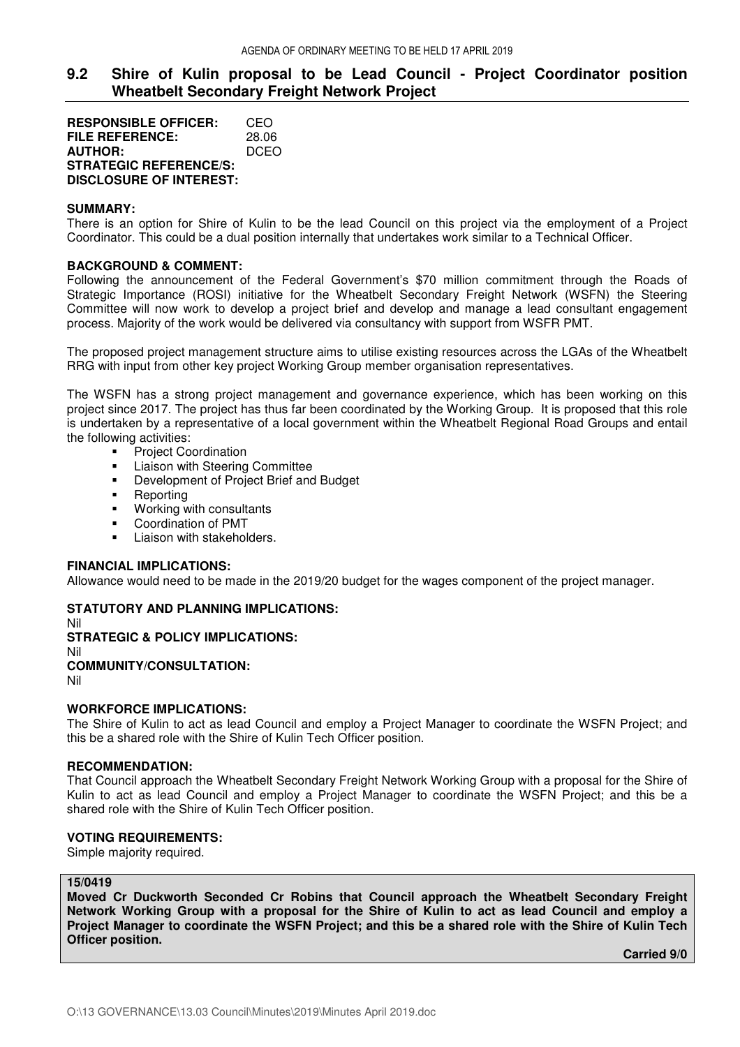# **9.2 Shire of Kulin proposal to be Lead Council - Project Coordinator position Wheatbelt Secondary Freight Network Project**

**RESPONSIBLE OFFICER:** CEO **FILE REFERENCE:** 28.06 **AUTHOR:** DCEO **STRATEGIC REFERENCE/S: DISCLOSURE OF INTEREST:** 

## **SUMMARY:**

There is an option for Shire of Kulin to be the lead Council on this project via the employment of a Project Coordinator. This could be a dual position internally that undertakes work similar to a Technical Officer.

## **BACKGROUND & COMMENT:**

Following the announcement of the Federal Government's \$70 million commitment through the Roads of Strategic Importance (ROSI) initiative for the Wheatbelt Secondary Freight Network (WSFN) the Steering Committee will now work to develop a project brief and develop and manage a lead consultant engagement process. Majority of the work would be delivered via consultancy with support from WSFR PMT.

The proposed project management structure aims to utilise existing resources across the LGAs of the Wheatbelt RRG with input from other key project Working Group member organisation representatives.

The WSFN has a strong project management and governance experience, which has been working on this project since 2017. The project has thus far been coordinated by the Working Group. It is proposed that this role is undertaken by a representative of a local government within the Wheatbelt Regional Road Groups and entail the following activities:

- **•** Project Coordination
- **Example 2** Liaison with Steering Committee
- **•** Development of Project Brief and Budget
- **Reporting**
- **Working with consultants**
- Coordination of PMT
- Liaison with stakeholders.

### **FINANCIAL IMPLICATIONS:**

Allowance would need to be made in the 2019/20 budget for the wages component of the project manager.

## **STATUTORY AND PLANNING IMPLICATIONS:**

Nil

**STRATEGIC & POLICY IMPLICATIONS:** 

Nil

# **COMMUNITY/CONSULTATION:**

Nil

# **WORKFORCE IMPLICATIONS:**

The Shire of Kulin to act as lead Council and employ a Project Manager to coordinate the WSFN Project; and this be a shared role with the Shire of Kulin Tech Officer position.

# **RECOMMENDATION:**

That Council approach the Wheatbelt Secondary Freight Network Working Group with a proposal for the Shire of Kulin to act as lead Council and employ a Project Manager to coordinate the WSFN Project; and this be a shared role with the Shire of Kulin Tech Officer position.

## **VOTING REQUIREMENTS:**

Simple majority required.

#### **15/0419**

**Moved Cr Duckworth Seconded Cr Robins that Council approach the Wheatbelt Secondary Freight Network Working Group with a proposal for the Shire of Kulin to act as lead Council and employ a Project Manager to coordinate the WSFN Project; and this be a shared role with the Shire of Kulin Tech Officer position.** 

 **Carried 9/0**